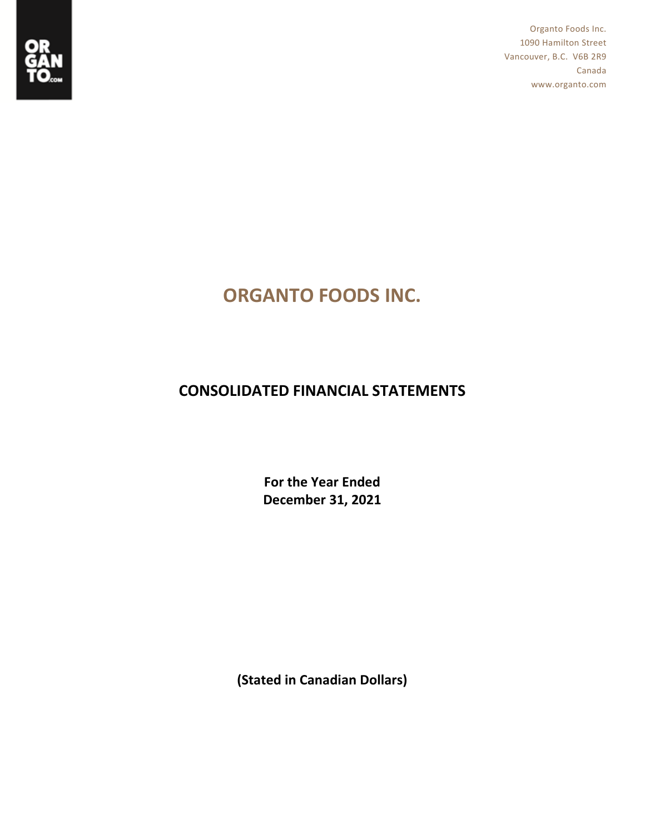

Organto Foods Inc. 1090 Hamilton Street Vancouver, B.C. V6B 2R9 Canada www.organto.com

# **ORGANTO FOODS INC.**

## **CONSOLIDATED FINANCIAL STATEMENTS**

**For the Year Ended December 31, 2021**

**(Stated in Canadian Dollars)**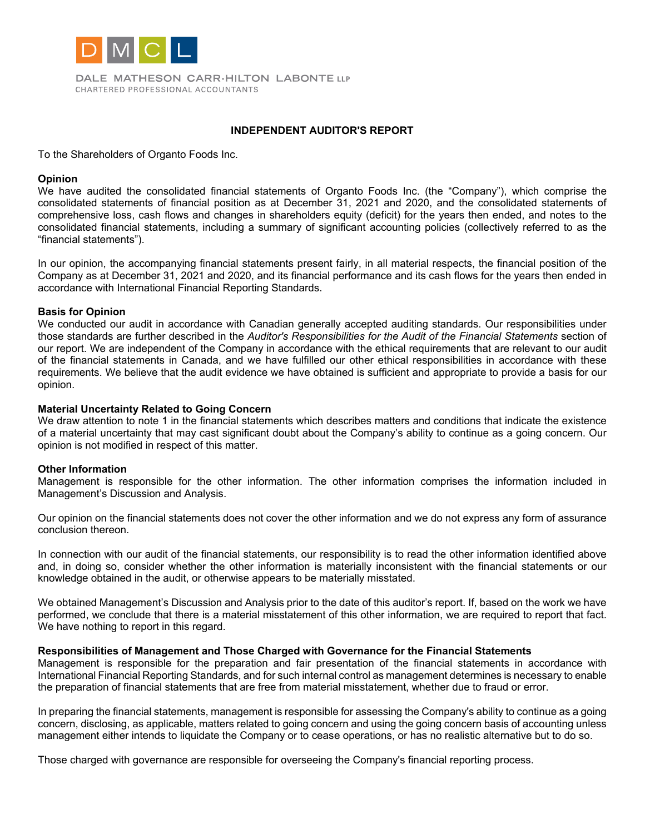

DALE MATHESON CARR-HILTON LABONTE LLP CHARTERED PROFESSIONAL ACCOUNTANTS

#### **INDEPENDENT AUDITOR'S REPORT**

To the Shareholders of Organto Foods Inc.

#### **Opinion**

We have audited the consolidated financial statements of Organto Foods Inc. (the "Company"), which comprise the consolidated statements of financial position as at December 31, 2021 and 2020, and the consolidated statements of comprehensive loss, cash flows and changes in shareholders equity (deficit) for the years then ended, and notes to the consolidated financial statements, including a summary of significant accounting policies (collectively referred to as the "financial statements").

In our opinion, the accompanying financial statements present fairly, in all material respects, the financial position of the Company as at December 31, 2021 and 2020, and its financial performance and its cash flows for the years then ended in accordance with International Financial Reporting Standards.

#### **Basis for Opinion**

We conducted our audit in accordance with Canadian generally accepted auditing standards. Our responsibilities under those standards are further described in the *Auditor's Responsibilities for the Audit of the Financial Statements* section of our report. We are independent of the Company in accordance with the ethical requirements that are relevant to our audit of the financial statements in Canada, and we have fulfilled our other ethical responsibilities in accordance with these requirements. We believe that the audit evidence we have obtained is sufficient and appropriate to provide a basis for our opinion.

#### **Material Uncertainty Related to Going Concern**

We draw attention to note 1 in the financial statements which describes matters and conditions that indicate the existence of a material uncertainty that may cast significant doubt about the Company's ability to continue as a going concern. Our opinion is not modified in respect of this matter.

#### **Other Information**

Management is responsible for the other information. The other information comprises the information included in Management's Discussion and Analysis.

Our opinion on the financial statements does not cover the other information and we do not express any form of assurance conclusion thereon.

In connection with our audit of the financial statements, our responsibility is to read the other information identified above and, in doing so, consider whether the other information is materially inconsistent with the financial statements or our knowledge obtained in the audit, or otherwise appears to be materially misstated.

We obtained Management's Discussion and Analysis prior to the date of this auditor's report. If, based on the work we have performed, we conclude that there is a material misstatement of this other information, we are required to report that fact. We have nothing to report in this regard.

#### **Responsibilities of Management and Those Charged with Governance for the Financial Statements**

Management is responsible for the preparation and fair presentation of the financial statements in accordance with International Financial Reporting Standards, and for such internal control as management determines is necessary to enable the preparation of financial statements that are free from material misstatement, whether due to fraud or error.

In preparing the financial statements, management is responsible for assessing the Company's ability to continue as a going concern, disclosing, as applicable, matters related to going concern and using the going concern basis of accounting unless management either intends to liquidate the Company or to cease operations, or has no realistic alternative but to do so.

Those charged with governance are responsible for overseeing the Company's financial reporting process.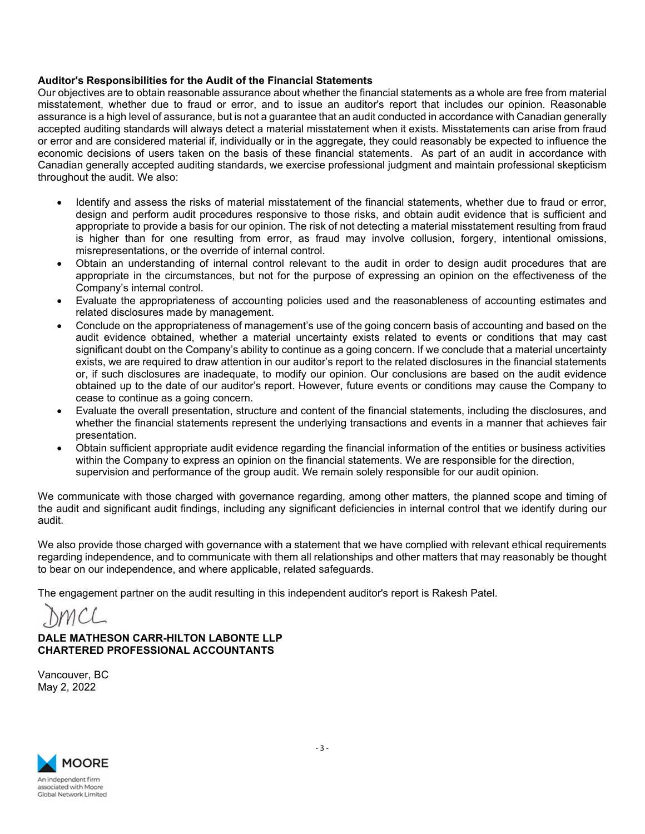#### **Auditor's Responsibilities for the Audit of the Financial Statements**

Our objectives are to obtain reasonable assurance about whether the financial statements as a whole are free from material misstatement, whether due to fraud or error, and to issue an auditor's report that includes our opinion. Reasonable assurance is a high level of assurance, but is not a guarantee that an audit conducted in accordance with Canadian generally accepted auditing standards will always detect a material misstatement when it exists. Misstatements can arise from fraud or error and are considered material if, individually or in the aggregate, they could reasonably be expected to influence the economic decisions of users taken on the basis of these financial statements. As part of an audit in accordance with Canadian generally accepted auditing standards, we exercise professional judgment and maintain professional skepticism throughout the audit. We also:

- Identify and assess the risks of material misstatement of the financial statements, whether due to fraud or error, design and perform audit procedures responsive to those risks, and obtain audit evidence that is sufficient and appropriate to provide a basis for our opinion. The risk of not detecting a material misstatement resulting from fraud is higher than for one resulting from error, as fraud may involve collusion, forgery, intentional omissions, misrepresentations, or the override of internal control.
- Obtain an understanding of internal control relevant to the audit in order to design audit procedures that are appropriate in the circumstances, but not for the purpose of expressing an opinion on the effectiveness of the Company's internal control.
- Evaluate the appropriateness of accounting policies used and the reasonableness of accounting estimates and related disclosures made by management.
- Conclude on the appropriateness of management's use of the going concern basis of accounting and based on the audit evidence obtained, whether a material uncertainty exists related to events or conditions that may cast significant doubt on the Company's ability to continue as a going concern. If we conclude that a material uncertainty exists, we are required to draw attention in our auditor's report to the related disclosures in the financial statements or, if such disclosures are inadequate, to modify our opinion. Our conclusions are based on the audit evidence obtained up to the date of our auditor's report. However, future events or conditions may cause the Company to cease to continue as a going concern.
- Evaluate the overall presentation, structure and content of the financial statements, including the disclosures, and whether the financial statements represent the underlying transactions and events in a manner that achieves fair presentation.
- Obtain sufficient appropriate audit evidence regarding the financial information of the entities or business activities within the Company to express an opinion on the financial statements. We are responsible for the direction, supervision and performance of the group audit. We remain solely responsible for our audit opinion.

We communicate with those charged with governance regarding, among other matters, the planned scope and timing of the audit and significant audit findings, including any significant deficiencies in internal control that we identify during our audit.

We also provide those charged with governance with a statement that we have complied with relevant ethical requirements regarding independence, and to communicate with them all relationships and other matters that may reasonably be thought to bear on our independence, and where applicable, related safeguards.

The engagement partner on the audit resulting in this independent auditor's report is Rakesh Patel*.*

#### **DALE MATHESON CARR-HILTON LABONTE LLP CHARTERED PROFESSIONAL ACCOUNTANTS**

Vancouver, BC May 2, 2022

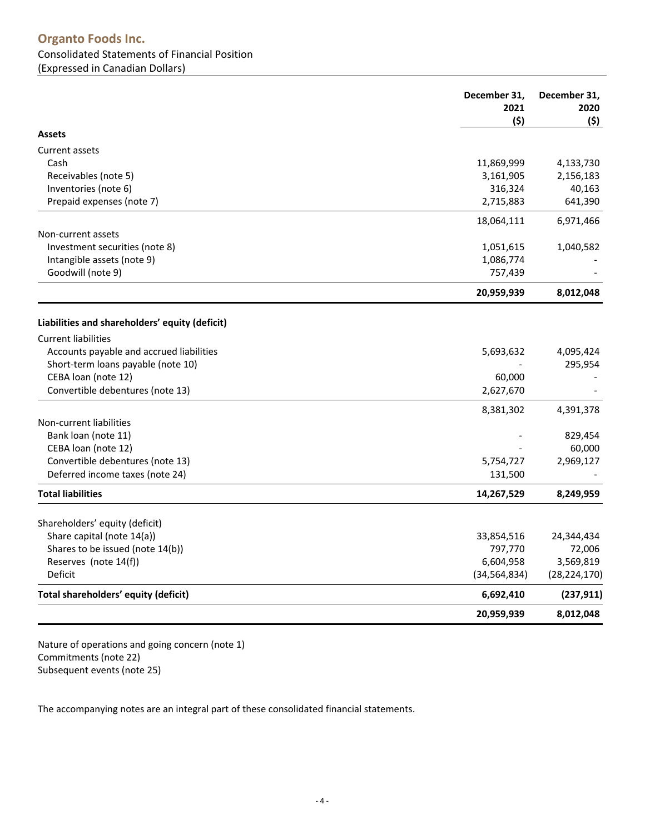## **Organto Foods Inc.** Consolidated Statements of Financial Position (Expressed in Canadian Dollars)

|                                                | December 31,<br>2021<br>(5) | December 31,<br>2020<br>(5) |
|------------------------------------------------|-----------------------------|-----------------------------|
| <b>Assets</b>                                  |                             |                             |
| Current assets                                 |                             |                             |
| Cash                                           | 11,869,999                  | 4,133,730                   |
| Receivables (note 5)                           | 3,161,905                   | 2,156,183                   |
| Inventories (note 6)                           | 316,324                     | 40,163                      |
| Prepaid expenses (note 7)                      | 2,715,883                   | 641,390                     |
|                                                | 18,064,111                  | 6,971,466                   |
| Non-current assets                             |                             |                             |
| Investment securities (note 8)                 | 1,051,615                   | 1,040,582                   |
| Intangible assets (note 9)                     | 1,086,774                   |                             |
| Goodwill (note 9)                              | 757,439                     |                             |
|                                                | 20,959,939                  | 8,012,048                   |
| Liabilities and shareholders' equity (deficit) |                             |                             |
| <b>Current liabilities</b>                     |                             |                             |
| Accounts payable and accrued liabilities       | 5,693,632                   | 4,095,424                   |
| Short-term loans payable (note 10)             |                             | 295,954                     |
| CEBA loan (note 12)                            | 60,000                      |                             |
| Convertible debentures (note 13)               | 2,627,670                   |                             |
|                                                | 8,381,302                   | 4,391,378                   |
| Non-current liabilities                        |                             |                             |
| Bank loan (note 11)                            |                             | 829,454                     |
| CEBA loan (note 12)                            |                             | 60,000                      |
| Convertible debentures (note 13)               | 5,754,727                   | 2,969,127                   |
| Deferred income taxes (note 24)                | 131,500                     |                             |
| <b>Total liabilities</b>                       | 14,267,529                  | 8,249,959                   |
| Shareholders' equity (deficit)                 |                             |                             |
| Share capital (note 14(a))                     | 33,854,516                  | 24,344,434                  |
| Shares to be issued (note 14(b))               | 797,770                     | 72,006                      |
| Reserves (note 14(f))                          | 6,604,958                   | 3,569,819                   |
| Deficit                                        | (34, 564, 834)              | (28, 224, 170)              |
| Total shareholders' equity (deficit)           | 6,692,410                   | (237, 911)                  |
|                                                | 20,959,939                  | 8,012,048                   |

Nature of operations and going concern (note 1) Commitments (note 22) Subsequent events (note 25)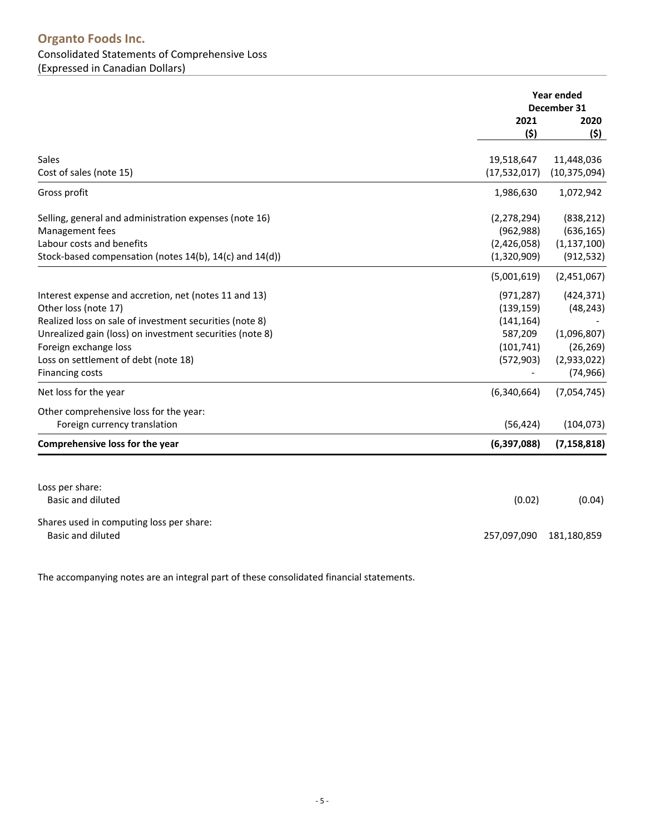|                                                          | Year ended<br>December 31 |                |
|----------------------------------------------------------|---------------------------|----------------|
|                                                          | 2021                      | 2020           |
|                                                          | (5)                       | (\$)           |
| <b>Sales</b>                                             | 19,518,647                | 11,448,036     |
| Cost of sales (note 15)                                  | (17,532,017)              | (10, 375, 094) |
| Gross profit                                             | 1,986,630                 | 1,072,942      |
| Selling, general and administration expenses (note 16)   | (2, 278, 294)             | (838, 212)     |
| Management fees                                          | (962, 988)                | (636, 165)     |
| Labour costs and benefits                                | (2,426,058)               | (1, 137, 100)  |
| Stock-based compensation (notes 14(b), 14(c) and 14(d))  | (1,320,909)               | (912, 532)     |
|                                                          | (5,001,619)               | (2,451,067)    |
| Interest expense and accretion, net (notes 11 and 13)    | (971, 287)                | (424, 371)     |
| Other loss (note 17)                                     | (139, 159)                | (48, 243)      |
| Realized loss on sale of investment securities (note 8)  | (141, 164)                |                |
| Unrealized gain (loss) on investment securities (note 8) | 587,209                   | (1,096,807)    |
| Foreign exchange loss                                    | (101, 741)                | (26, 269)      |
| Loss on settlement of debt (note 18)                     | (572,903)                 | (2,933,022)    |
| <b>Financing costs</b>                                   |                           | (74, 966)      |
| Net loss for the year                                    | (6,340,664)               | (7,054,745)    |
| Other comprehensive loss for the year:                   |                           |                |
| Foreign currency translation                             | (56, 424)                 | (104, 073)     |
| Comprehensive loss for the year                          | (6, 397, 088)             | (7, 158, 818)  |
|                                                          |                           |                |
| Loss per share:                                          |                           |                |
| Basic and diluted                                        | (0.02)                    | (0.04)         |
| Shares used in computing loss per share:                 |                           |                |
| Basic and diluted                                        | 257,097,090               | 181,180,859    |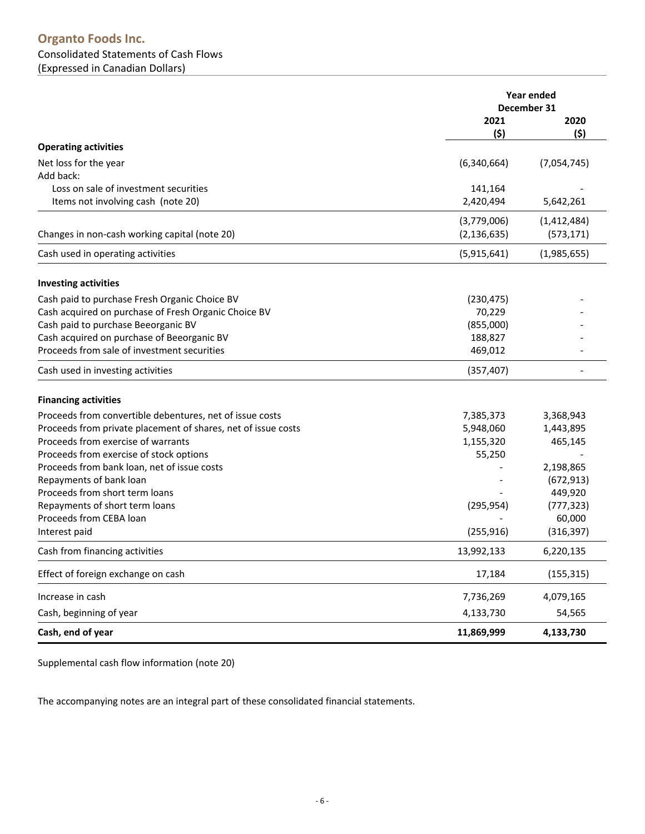|                                                               | Year ended<br>December 31 |             |  |
|---------------------------------------------------------------|---------------------------|-------------|--|
|                                                               | 2021<br>(\$)              | 2020<br>(5) |  |
| <b>Operating activities</b>                                   |                           |             |  |
| Net loss for the year                                         | (6,340,664)               | (7,054,745) |  |
| Add back:                                                     |                           |             |  |
| Loss on sale of investment securities                         | 141,164                   |             |  |
| Items not involving cash (note 20)                            | 2,420,494                 | 5,642,261   |  |
|                                                               | (3,779,006)               | (1,412,484) |  |
| Changes in non-cash working capital (note 20)                 | (2, 136, 635)             | (573, 171)  |  |
| Cash used in operating activities                             | (5,915,641)               | (1,985,655) |  |
| <b>Investing activities</b>                                   |                           |             |  |
| Cash paid to purchase Fresh Organic Choice BV                 | (230, 475)                |             |  |
| Cash acquired on purchase of Fresh Organic Choice BV          | 70,229                    |             |  |
| Cash paid to purchase Beeorganic BV                           | (855,000)                 |             |  |
| Cash acquired on purchase of Beeorganic BV                    | 188,827                   |             |  |
| Proceeds from sale of investment securities                   | 469,012                   |             |  |
| Cash used in investing activities                             | (357, 407)                |             |  |
| <b>Financing activities</b>                                   |                           |             |  |
| Proceeds from convertible debentures, net of issue costs      | 7,385,373                 | 3,368,943   |  |
| Proceeds from private placement of shares, net of issue costs | 5,948,060                 | 1,443,895   |  |
| Proceeds from exercise of warrants                            | 1,155,320                 | 465,145     |  |
| Proceeds from exercise of stock options                       | 55,250                    |             |  |
| Proceeds from bank loan, net of issue costs                   |                           | 2,198,865   |  |
| Repayments of bank loan                                       |                           | (672, 913)  |  |
| Proceeds from short term loans                                |                           | 449,920     |  |
| Repayments of short term loans                                | (295, 954)                | (777, 323)  |  |
| Proceeds from CEBA loan                                       |                           | 60,000      |  |
| Interest paid                                                 | (255, 916)                | (316, 397)  |  |
| Cash from financing activities                                | 13,992,133                | 6,220,135   |  |
| Effect of foreign exchange on cash                            | 17,184                    | (155, 315)  |  |
| Increase in cash                                              | 7,736,269                 | 4,079,165   |  |
| Cash, beginning of year                                       | 4,133,730                 | 54,565      |  |
| Cash, end of year                                             | 11,869,999                | 4,133,730   |  |

Supplemental cash flow information (note 20)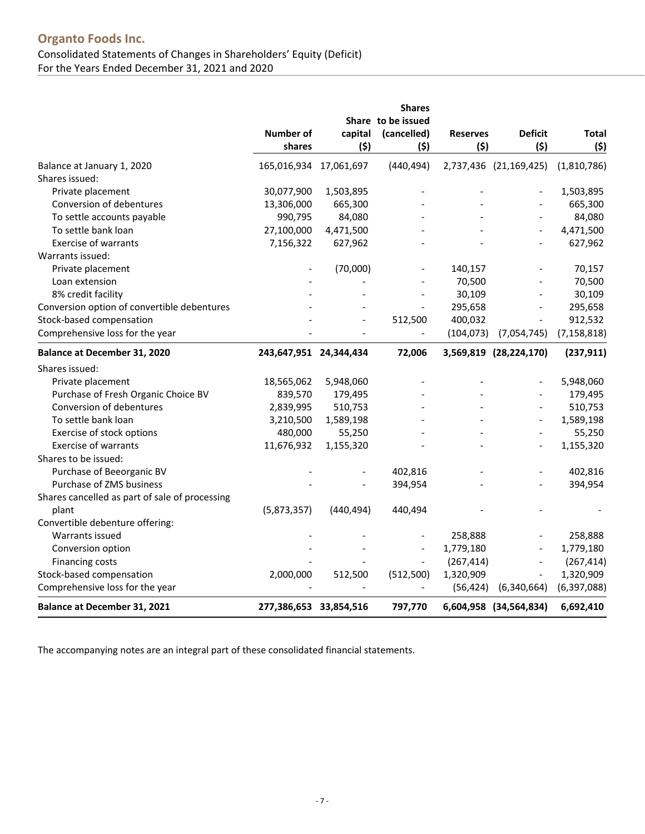## **Organto Foods Inc.** Consolidated Statements of Changes in Shareholders' Equity (Deficit) For the Years Ended December 31, 2021 and 2020

|                                                |                        |                | <b>Shares</b>            |                         |                        |               |
|------------------------------------------------|------------------------|----------------|--------------------------|-------------------------|------------------------|---------------|
|                                                |                        |                | Share to be issued       |                         |                        |               |
|                                                | Number of<br>shares    | capital<br>(5) | (cancelled)<br>(5)       | <b>Reserves</b><br>(\$) | <b>Deficit</b><br>(5)  | Total<br>(5)  |
| Balance at January 1, 2020                     | 165,016,934 17,061,697 |                | (440, 494)               |                         | 2,737,436 (21,169,425) | (1,810,786)   |
| Shares issued:                                 |                        |                |                          |                         |                        |               |
| Private placement                              | 30,077,900             | 1,503,895      |                          |                         |                        | 1,503,895     |
| Conversion of debentures                       | 13,306,000             | 665,300        |                          |                         |                        | 665,300       |
| To settle accounts payable                     | 990,795                | 84,080         |                          |                         |                        | 84,080        |
| To settle bank loan                            | 27,100,000             | 4,471,500      |                          |                         |                        | 4,471,500     |
| <b>Exercise of warrants</b>                    | 7,156,322              | 627,962        |                          |                         |                        | 627,962       |
| Warrants issued:                               |                        |                |                          |                         |                        |               |
| Private placement                              |                        | (70,000)       |                          | 140,157                 |                        | 70,157        |
| Loan extension                                 |                        |                |                          | 70,500                  |                        | 70,500        |
| 8% credit facility                             |                        |                |                          | 30,109                  |                        | 30,109        |
| Conversion option of convertible debentures    |                        |                |                          | 295,658                 |                        | 295,658       |
| Stock-based compensation                       |                        |                | 512,500                  | 400,032                 |                        | 912,532       |
| Comprehensive loss for the year                |                        |                | $\frac{1}{2}$            | (104, 073)              | (7,054,745)            | (7, 158, 818) |
| <b>Balance at December 31, 2020</b>            | 243,647,951 24,344,434 |                | 72,006                   |                         | 3,569,819 (28,224,170) | (237, 911)    |
| Shares issued:                                 |                        |                |                          |                         |                        |               |
| Private placement                              | 18,565,062             | 5,948,060      |                          |                         |                        | 5,948,060     |
| Purchase of Fresh Organic Choice BV            | 839,570                | 179,495        |                          |                         |                        | 179,495       |
| Conversion of debentures                       | 2,839,995              | 510,753        |                          |                         |                        | 510,753       |
| To settle bank loan                            | 3,210,500              | 1,589,198      |                          |                         |                        | 1,589,198     |
| Exercise of stock options                      | 480,000                | 55,250         |                          |                         |                        | 55,250        |
| <b>Exercise of warrants</b>                    | 11,676,932             | 1,155,320      |                          |                         |                        | 1,155,320     |
| Shares to be issued:                           |                        |                |                          |                         |                        |               |
| Purchase of Beeorganic BV                      |                        |                | 402,816                  |                         |                        | 402,816       |
| Purchase of ZMS business                       |                        |                | 394,954                  |                         |                        | 394,954       |
| Shares cancelled as part of sale of processing |                        |                |                          |                         |                        |               |
| plant                                          | (5,873,357)            | (440, 494)     | 440,494                  |                         |                        |               |
| Convertible debenture offering:                |                        |                |                          |                         |                        |               |
| Warrants issued                                |                        |                |                          | 258,888                 |                        | 258,888       |
| Conversion option                              |                        |                | $\overline{a}$           | 1,779,180               |                        | 1,779,180     |
| <b>Financing costs</b>                         |                        |                | $\overline{\phantom{0}}$ | (267, 414)              |                        | (267, 414)    |
| Stock-based compensation                       | 2,000,000              | 512,500        | (512,500)                | 1,320,909               |                        | 1,320,909     |
| Comprehensive loss for the year                |                        |                | $\overline{\phantom{a}}$ | (56, 424)               | (6,340,664)            | (6, 397, 088) |
| <b>Balance at December 31, 2021</b>            | 277,386,653 33,854,516 |                | 797,770                  |                         | 6,604,958 (34,564,834) | 6,692,410     |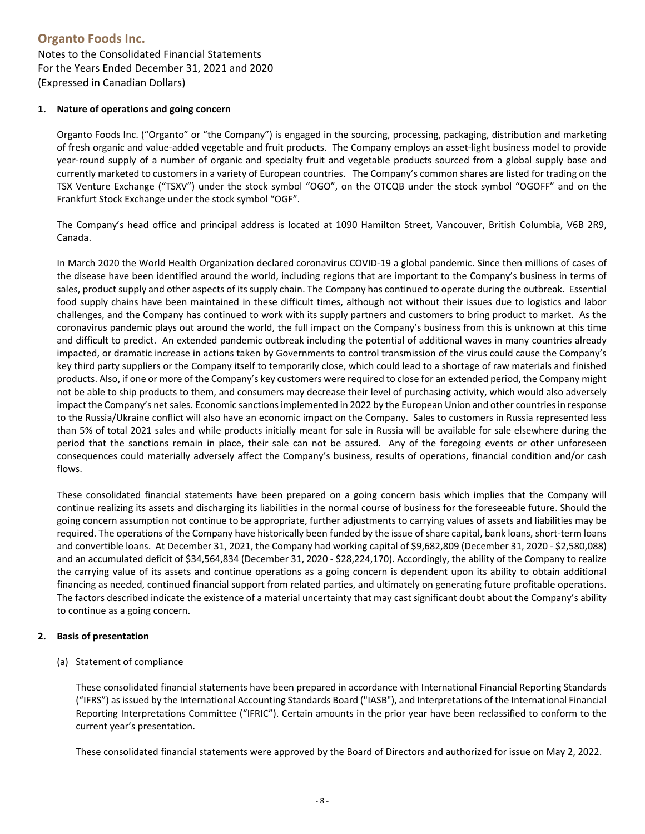#### **1. Nature of operations and going concern**

Organto Foods Inc. ("Organto" or "the Company") is engaged in the sourcing, processing, packaging, distribution and marketing of fresh organic and value‐added vegetable and fruit products. The Company employs an asset‐light business model to provide year‐round supply of a number of organic and specialty fruit and vegetable products sourced from a global supply base and currently marketed to customers in a variety of European countries. The Company's common shares are listed for trading on the TSX Venture Exchange ("TSXV") under the stock symbol "OGO", on the OTCQB under the stock symbol "OGOFF" and on the Frankfurt Stock Exchange under the stock symbol "OGF".

The Company's head office and principal address is located at 1090 Hamilton Street, Vancouver, British Columbia, V6B 2R9, Canada.

In March 2020 the World Health Organization declared coronavirus COVID‐19 a global pandemic. Since then millions of cases of the disease have been identified around the world, including regions that are important to the Company's business in terms of sales, product supply and other aspects of its supply chain. The Company has continued to operate during the outbreak. Essential food supply chains have been maintained in these difficult times, although not without their issues due to logistics and labor challenges, and the Company has continued to work with its supply partners and customers to bring product to market. As the coronavirus pandemic plays out around the world, the full impact on the Company's business from this is unknown at this time and difficult to predict. An extended pandemic outbreak including the potential of additional waves in many countries already impacted, or dramatic increase in actions taken by Governments to control transmission of the virus could cause the Company's key third party suppliers or the Company itself to temporarily close, which could lead to a shortage of raw materials and finished products. Also, if one or more of the Company's key customers were required to close for an extended period, the Company might not be able to ship products to them, and consumers may decrease their level of purchasing activity, which would also adversely impact the Company's net sales. Economic sanctions implemented in 2022 by the European Union and other countries in response to the Russia/Ukraine conflict will also have an economic impact on the Company. Sales to customers in Russia represented less than 5% of total 2021 sales and while products initially meant for sale in Russia will be available for sale elsewhere during the period that the sanctions remain in place, their sale can not be assured. Any of the foregoing events or other unforeseen consequences could materially adversely affect the Company's business, results of operations, financial condition and/or cash flows.

These consolidated financial statements have been prepared on a going concern basis which implies that the Company will continue realizing its assets and discharging its liabilities in the normal course of business for the foreseeable future. Should the going concern assumption not continue to be appropriate, further adjustments to carrying values of assets and liabilities may be required. The operations of the Company have historically been funded by the issue of share capital, bank loans, short‐term loans and convertible loans. At December 31, 2021, the Company had working capital of \$9,682,809 (December 31, 2020 ‐ \$2,580,088) and an accumulated deficit of \$34,564,834 (December 31, 2020 ‐ \$28,224,170). Accordingly, the ability of the Company to realize the carrying value of its assets and continue operations as a going concern is dependent upon its ability to obtain additional financing as needed, continued financial support from related parties, and ultimately on generating future profitable operations. The factors described indicate the existence of a material uncertainty that may cast significant doubt about the Company's ability to continue as a going concern.

#### **2. Basis of presentation**

(a) Statement of compliance

These consolidated financial statements have been prepared in accordance with International Financial Reporting Standards ("IFRS") as issued by the International Accounting Standards Board ("IASB"), and Interpretations of the International Financial Reporting Interpretations Committee ("IFRIC"). Certain amounts in the prior year have been reclassified to conform to the current year's presentation.

These consolidated financial statements were approved by the Board of Directors and authorized for issue on May 2, 2022.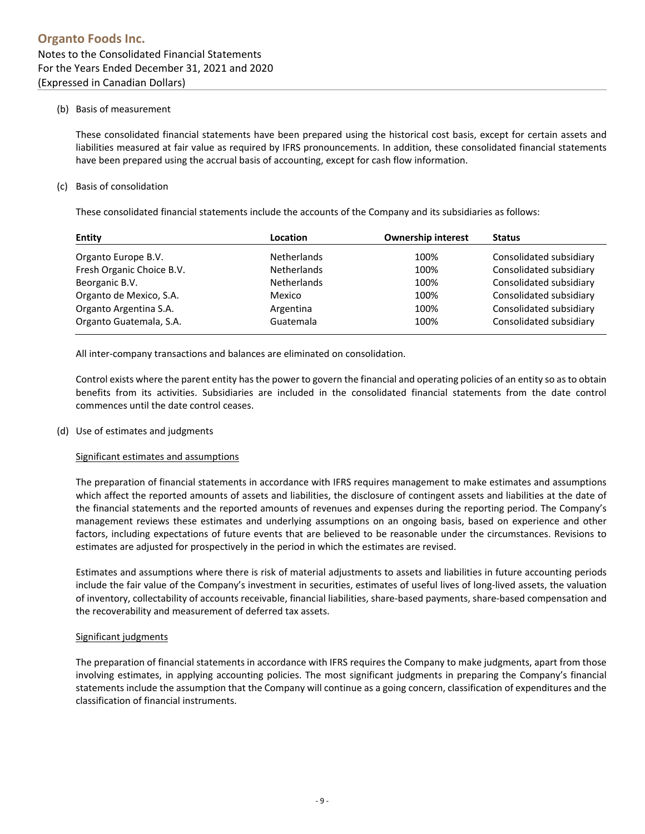#### (b) Basis of measurement

These consolidated financial statements have been prepared using the historical cost basis, except for certain assets and liabilities measured at fair value as required by IFRS pronouncements. In addition, these consolidated financial statements have been prepared using the accrual basis of accounting, except for cash flow information.

#### (c) Basis of consolidation

These consolidated financial statements include the accounts of the Company and its subsidiaries as follows:

| <b>Entity</b>             | Location           | <b>Ownership interest</b> | <b>Status</b>           |
|---------------------------|--------------------|---------------------------|-------------------------|
| Organto Europe B.V.       | <b>Netherlands</b> | 100%                      | Consolidated subsidiary |
| Fresh Organic Choice B.V. | <b>Netherlands</b> | 100%                      | Consolidated subsidiary |
| Beorganic B.V.            | <b>Netherlands</b> | 100%                      | Consolidated subsidiary |
| Organto de Mexico, S.A.   | Mexico             | 100%                      | Consolidated subsidiary |
| Organto Argentina S.A.    | Argentina          | 100%                      | Consolidated subsidiary |
| Organto Guatemala, S.A.   | Guatemala          | 100%                      | Consolidated subsidiary |

All inter‐company transactions and balances are eliminated on consolidation.

Control exists where the parent entity has the power to govern the financial and operating policies of an entity so as to obtain benefits from its activities. Subsidiaries are included in the consolidated financial statements from the date control commences until the date control ceases.

#### (d) Use of estimates and judgments

#### Significant estimates and assumptions

The preparation of financial statements in accordance with IFRS requires management to make estimates and assumptions which affect the reported amounts of assets and liabilities, the disclosure of contingent assets and liabilities at the date of the financial statements and the reported amounts of revenues and expenses during the reporting period. The Company's management reviews these estimates and underlying assumptions on an ongoing basis, based on experience and other factors, including expectations of future events that are believed to be reasonable under the circumstances. Revisions to estimates are adjusted for prospectively in the period in which the estimates are revised.

Estimates and assumptions where there is risk of material adjustments to assets and liabilities in future accounting periods include the fair value of the Company's investment in securities, estimates of useful lives of long-lived assets, the valuation of inventory, collectability of accounts receivable, financial liabilities, share‐based payments, share‐based compensation and the recoverability and measurement of deferred tax assets.

#### Significant judgments

The preparation of financial statements in accordance with IFRS requires the Company to make judgments, apart from those involving estimates, in applying accounting policies. The most significant judgments in preparing the Company's financial statements include the assumption that the Company will continue as a going concern, classification of expenditures and the classification of financial instruments.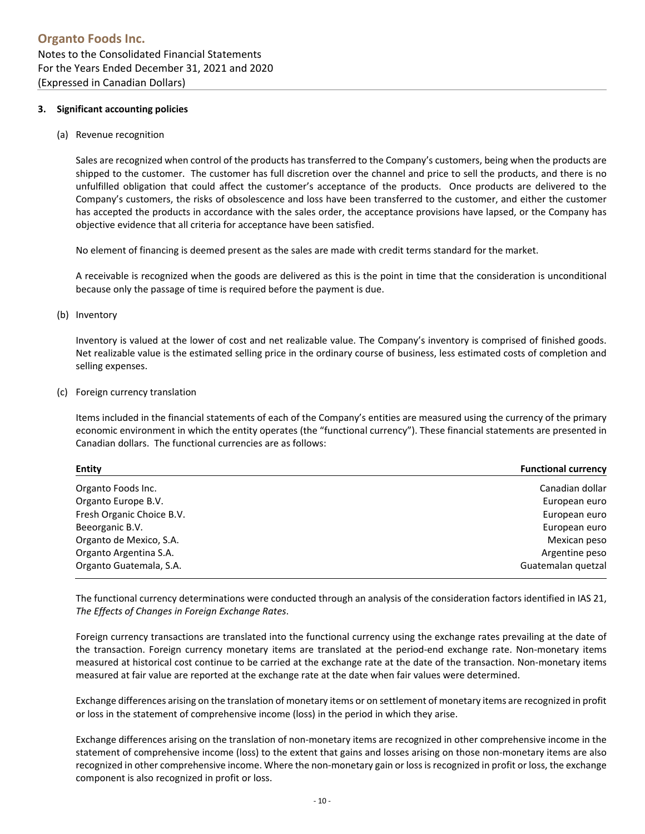#### **3. Significant accounting policies**

(a) Revenue recognition

Sales are recognized when control of the products has transferred to the Company's customers, being when the products are shipped to the customer. The customer has full discretion over the channel and price to sell the products, and there is no unfulfilled obligation that could affect the customer's acceptance of the products. Once products are delivered to the Company's customers, the risks of obsolescence and loss have been transferred to the customer, and either the customer has accepted the products in accordance with the sales order, the acceptance provisions have lapsed, or the Company has objective evidence that all criteria for acceptance have been satisfied.

No element of financing is deemed present as the sales are made with credit terms standard for the market.

A receivable is recognized when the goods are delivered as this is the point in time that the consideration is unconditional because only the passage of time is required before the payment is due.

(b) Inventory

Inventory is valued at the lower of cost and net realizable value. The Company's inventory is comprised of finished goods. Net realizable value is the estimated selling price in the ordinary course of business, less estimated costs of completion and selling expenses.

(c) Foreign currency translation

Items included in the financial statements of each of the Company's entities are measured using the currency of the primary economic environment in which the entity operates (the "functional currency"). These financial statements are presented in Canadian dollars. The functional currencies are as follows:

| <b>Entity</b>             | <b>Functional currency</b> |
|---------------------------|----------------------------|
| Organto Foods Inc.        | Canadian dollar            |
| Organto Europe B.V.       | European euro              |
| Fresh Organic Choice B.V. | European euro              |
| Beeorganic B.V.           | European euro              |
| Organto de Mexico, S.A.   | Mexican peso               |
| Organto Argentina S.A.    | Argentine peso             |
| Organto Guatemala, S.A.   | Guatemalan quetzal         |

The functional currency determinations were conducted through an analysis of the consideration factors identified in IAS 21, *The Effects of Changes in Foreign Exchange Rates*.

Foreign currency transactions are translated into the functional currency using the exchange rates prevailing at the date of the transaction. Foreign currency monetary items are translated at the period-end exchange rate. Non-monetary items measured at historical cost continue to be carried at the exchange rate at the date of the transaction. Non-monetary items measured at fair value are reported at the exchange rate at the date when fair values were determined.

Exchange differences arising on the translation of monetary items or on settlement of monetary items are recognized in profit or loss in the statement of comprehensive income (loss) in the period in which they arise.

Exchange differences arising on the translation of non‐monetary items are recognized in other comprehensive income in the statement of comprehensive income (loss) to the extent that gains and losses arising on those non-monetary items are also recognized in other comprehensive income. Where the non-monetary gain or loss is recognized in profit or loss, the exchange component is also recognized in profit or loss.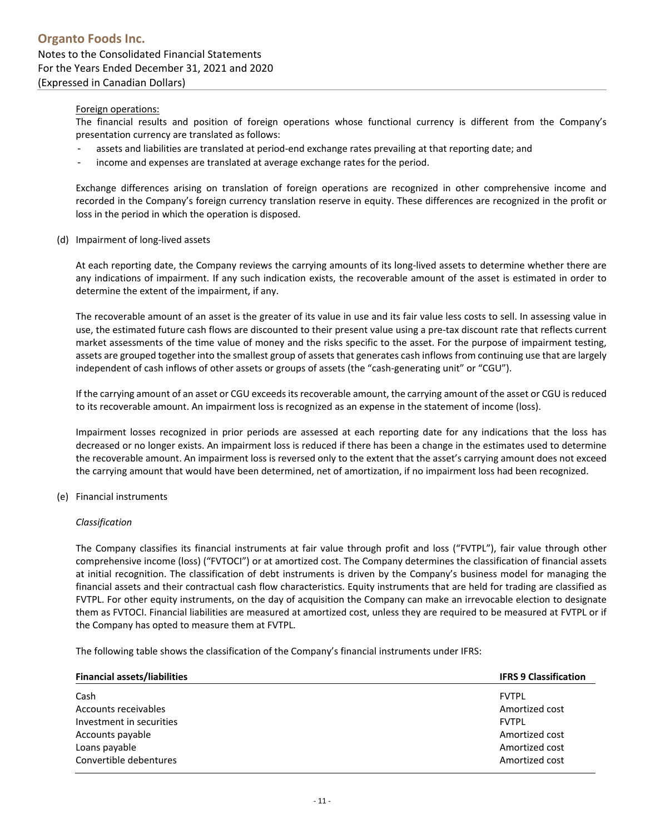#### Foreign operations:

The financial results and position of foreign operations whose functional currency is different from the Company's presentation currency are translated as follows:

- ‐ assets and liabilities are translated at period‐end exchange rates prevailing at that reporting date; and
- income and expenses are translated at average exchange rates for the period.

Exchange differences arising on translation of foreign operations are recognized in other comprehensive income and recorded in the Company's foreign currency translation reserve in equity. These differences are recognized in the profit or loss in the period in which the operation is disposed.

#### (d) Impairment of long‐lived assets

At each reporting date, the Company reviews the carrying amounts of its long-lived assets to determine whether there are any indications of impairment. If any such indication exists, the recoverable amount of the asset is estimated in order to determine the extent of the impairment, if any.

The recoverable amount of an asset is the greater of its value in use and its fair value less costs to sell. In assessing value in use, the estimated future cash flows are discounted to their present value using a pre‐tax discount rate that reflects current market assessments of the time value of money and the risks specific to the asset. For the purpose of impairment testing, assets are grouped together into the smallest group of assets that generates cash inflows from continuing use that are largely independent of cash inflows of other assets or groups of assets (the "cash-generating unit" or "CGU").

If the carrying amount of an asset or CGU exceeds its recoverable amount, the carrying amount of the asset or CGU is reduced to its recoverable amount. An impairment loss is recognized as an expense in the statement of income (loss).

Impairment losses recognized in prior periods are assessed at each reporting date for any indications that the loss has decreased or no longer exists. An impairment loss is reduced if there has been a change in the estimates used to determine the recoverable amount. An impairment loss is reversed only to the extent that the asset's carrying amount does not exceed the carrying amount that would have been determined, net of amortization, if no impairment loss had been recognized.

(e) Financial instruments

#### *Classification*

The Company classifies its financial instruments at fair value through profit and loss ("FVTPL"), fair value through other comprehensive income (loss) ("FVTOCI") or at amortized cost. The Company determines the classification of financial assets at initial recognition. The classification of debt instruments is driven by the Company's business model for managing the financial assets and their contractual cash flow characteristics. Equity instruments that are held for trading are classified as FVTPL. For other equity instruments, on the day of acquisition the Company can make an irrevocable election to designate them as FVTOCI. Financial liabilities are measured at amortized cost, unless they are required to be measured at FVTPL or if the Company has opted to measure them at FVTPL.

The following table shows the classification of the Company's financial instruments under IFRS:

| <b>Financial assets/liabilities</b> | <b>IFRS 9 Classification</b> |
|-------------------------------------|------------------------------|
| Cash                                | <b>FVTPL</b>                 |
| Accounts receivables                | Amortized cost               |
| Investment in securities            | <b>FVTPL</b>                 |
| Accounts payable                    | Amortized cost               |
| Loans payable                       | Amortized cost               |
| Convertible debentures              | Amortized cost               |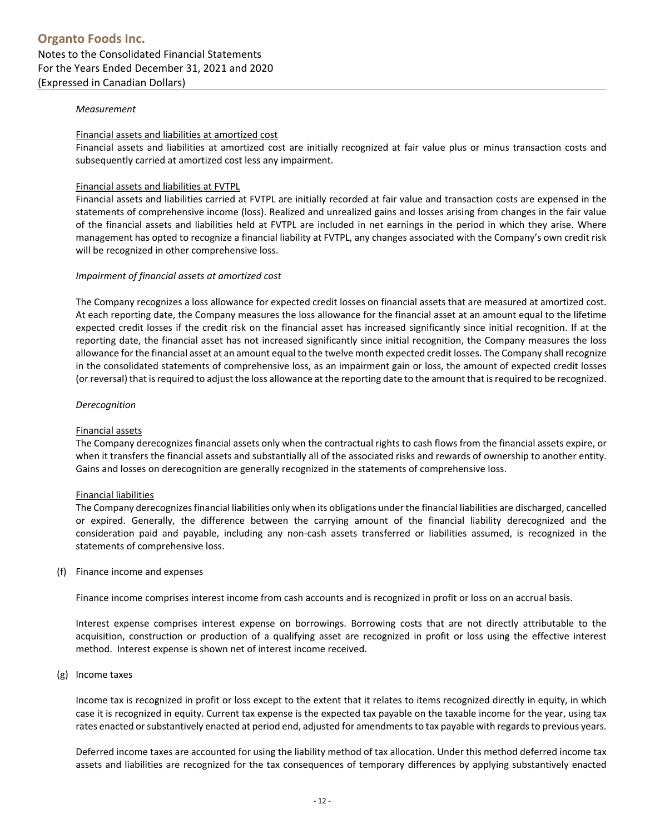#### *Measurement*

#### Financial assets and liabilities at amortized cost

Financial assets and liabilities at amortized cost are initially recognized at fair value plus or minus transaction costs and subsequently carried at amortized cost less any impairment.

#### Financial assets and liabilities at FVTPL

Financial assets and liabilities carried at FVTPL are initially recorded at fair value and transaction costs are expensed in the statements of comprehensive income (loss). Realized and unrealized gains and losses arising from changes in the fair value of the financial assets and liabilities held at FVTPL are included in net earnings in the period in which they arise. Where management has opted to recognize a financial liability at FVTPL, any changes associated with the Company's own credit risk will be recognized in other comprehensive loss.

#### *Impairment of financial assets at amortized cost*

The Company recognizes a loss allowance for expected credit losses on financial assets that are measured at amortized cost. At each reporting date, the Company measures the loss allowance for the financial asset at an amount equal to the lifetime expected credit losses if the credit risk on the financial asset has increased significantly since initial recognition. If at the reporting date, the financial asset has not increased significantly since initial recognition, the Company measures the loss allowance for the financial asset at an amount equal to the twelve month expected credit losses. The Company shall recognize in the consolidated statements of comprehensive loss, as an impairment gain or loss, the amount of expected credit losses (or reversal) that isrequired to adjust the loss allowance at the reporting date to the amount that isrequired to be recognized.

#### *Derecognition*

#### Financial assets

The Company derecognizes financial assets only when the contractual rights to cash flows from the financial assets expire, or when it transfers the financial assets and substantially all of the associated risks and rewards of ownership to another entity. Gains and losses on derecognition are generally recognized in the statements of comprehensive loss.

#### Financial liabilities

The Company derecognizes financial liabilities only when its obligations under the financial liabilities are discharged, cancelled or expired. Generally, the difference between the carrying amount of the financial liability derecognized and the consideration paid and payable, including any non-cash assets transferred or liabilities assumed, is recognized in the statements of comprehensive loss.

#### (f) Finance income and expenses

Finance income comprises interest income from cash accounts and is recognized in profit or loss on an accrual basis.

Interest expense comprises interest expense on borrowings. Borrowing costs that are not directly attributable to the acquisition, construction or production of a qualifying asset are recognized in profit or loss using the effective interest method. Interest expense is shown net of interest income received.

#### (g) Income taxes

Income tax is recognized in profit or loss except to the extent that it relates to items recognized directly in equity, in which case it is recognized in equity. Current tax expense is the expected tax payable on the taxable income for the year, using tax rates enacted or substantively enacted at period end, adjusted for amendments to tax payable with regards to previous years.

Deferred income taxes are accounted for using the liability method of tax allocation. Under this method deferred income tax assets and liabilities are recognized for the tax consequences of temporary differences by applying substantively enacted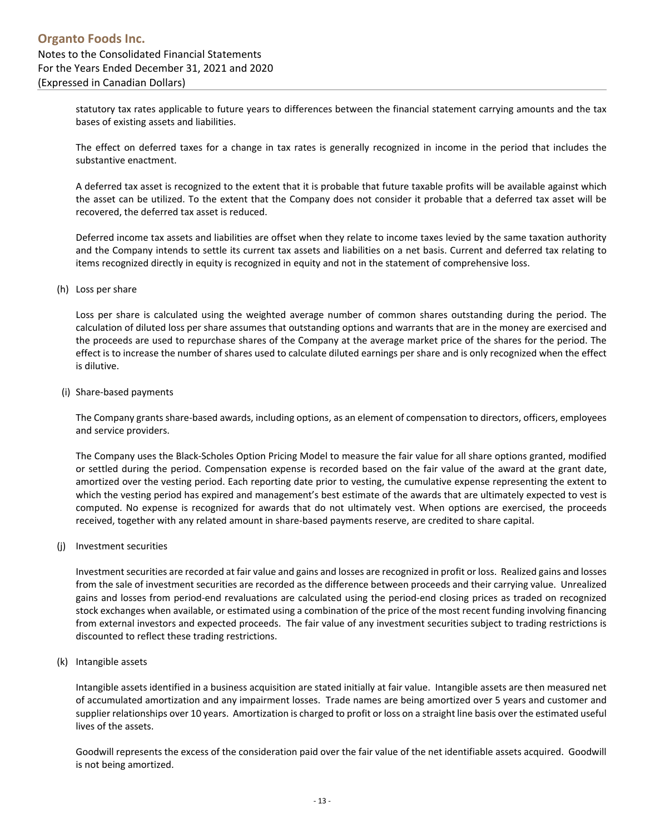statutory tax rates applicable to future years to differences between the financial statement carrying amounts and the tax bases of existing assets and liabilities.

The effect on deferred taxes for a change in tax rates is generally recognized in income in the period that includes the substantive enactment.

A deferred tax asset is recognized to the extent that it is probable that future taxable profits will be available against which the asset can be utilized. To the extent that the Company does not consider it probable that a deferred tax asset will be recovered, the deferred tax asset is reduced.

Deferred income tax assets and liabilities are offset when they relate to income taxes levied by the same taxation authority and the Company intends to settle its current tax assets and liabilities on a net basis. Current and deferred tax relating to items recognized directly in equity is recognized in equity and not in the statement of comprehensive loss.

#### (h) Loss per share

Loss per share is calculated using the weighted average number of common shares outstanding during the period. The calculation of diluted loss per share assumes that outstanding options and warrants that are in the money are exercised and the proceeds are used to repurchase shares of the Company at the average market price of the shares for the period. The effect is to increase the number of shares used to calculate diluted earnings per share and is only recognized when the effect is dilutive.

#### (i) Share‐based payments

The Company grants share‐based awards, including options, as an element of compensation to directors, officers, employees and service providers.

The Company uses the Black‐Scholes Option Pricing Model to measure the fair value for all share options granted, modified or settled during the period. Compensation expense is recorded based on the fair value of the award at the grant date, amortized over the vesting period. Each reporting date prior to vesting, the cumulative expense representing the extent to which the vesting period has expired and management's best estimate of the awards that are ultimately expected to vest is computed. No expense is recognized for awards that do not ultimately vest. When options are exercised, the proceeds received, together with any related amount in share‐based payments reserve, are credited to share capital.

#### (j) Investment securities

Investment securities are recorded at fair value and gains and losses are recognized in profit or loss. Realized gains and losses from the sale of investment securities are recorded as the difference between proceeds and their carrying value. Unrealized gains and losses from period‐end revaluations are calculated using the period‐end closing prices as traded on recognized stock exchanges when available, or estimated using a combination of the price of the most recent funding involving financing from external investors and expected proceeds. The fair value of any investment securities subject to trading restrictions is discounted to reflect these trading restrictions.

#### (k) Intangible assets

Intangible assets identified in a business acquisition are stated initially at fair value. Intangible assets are then measured net of accumulated amortization and any impairment losses. Trade names are being amortized over 5 years and customer and supplier relationships over 10 years. Amortization is charged to profit or loss on a straight line basis over the estimated useful lives of the assets.

Goodwill represents the excess of the consideration paid over the fair value of the net identifiable assets acquired. Goodwill is not being amortized.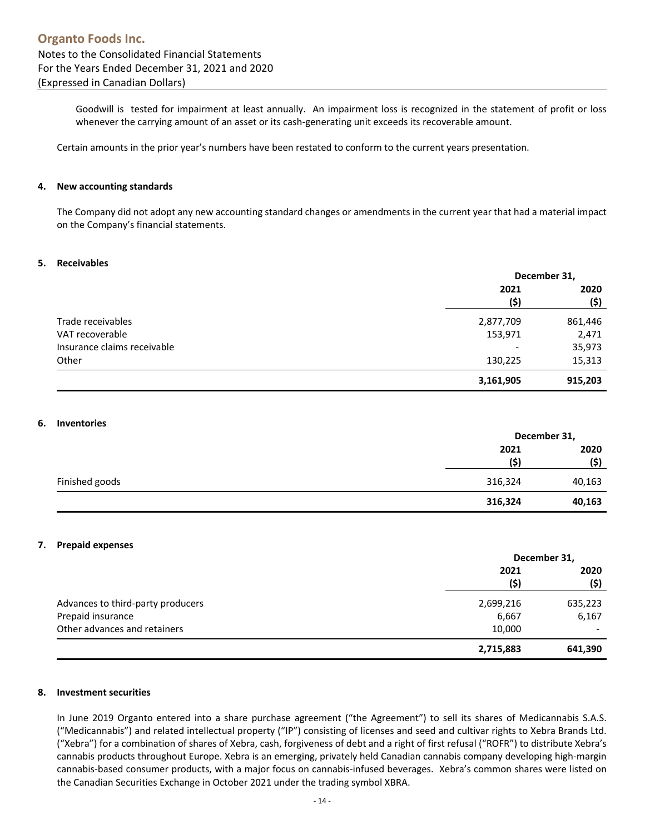Goodwill is tested for impairment at least annually. An impairment loss is recognized in the statement of profit or loss whenever the carrying amount of an asset or its cash-generating unit exceeds its recoverable amount.

Certain amounts in the prior year's numbers have been restated to conform to the current years presentation.

#### **4. New accounting standards**

The Company did not adopt any new accounting standard changes or amendments in the current year that had a material impact on the Company's financial statements.

#### **5. Receivables**

|                             |                          | December 31, |  |  |
|-----------------------------|--------------------------|--------------|--|--|
|                             | 2021                     | 2020         |  |  |
|                             | (\$)                     | (\$)         |  |  |
| Trade receivables           | 2,877,709                | 861,446      |  |  |
| VAT recoverable             | 153,971                  | 2,471        |  |  |
| Insurance claims receivable | $\overline{\phantom{a}}$ | 35,973       |  |  |
| Other                       | 130,225                  | 15,313       |  |  |
|                             | 3,161,905                | 915,203      |  |  |

#### **6. Inventories**

|                |         | December 31, |
|----------------|---------|--------------|
|                | 2021    | 2020         |
|                | (\$)    | (\$)         |
| Finished goods | 316,324 | 40,163       |
|                | 316,324 | 40,163       |

#### **7. Prepaid expenses**

|                                   | December 31, |                          |  |
|-----------------------------------|--------------|--------------------------|--|
|                                   | 2021<br>(\$) | 2020<br>(\$)             |  |
| Advances to third-party producers | 2,699,216    | 635,223                  |  |
| Prepaid insurance                 | 6,667        | 6,167                    |  |
| Other advances and retainers      | 10,000       | $\overline{\phantom{a}}$ |  |
|                                   | 2,715,883    | 641,390                  |  |

#### **8. Investment securities**

In June 2019 Organto entered into a share purchase agreement ("the Agreement") to sell its shares of Medicannabis S.A.S. ("Medicannabis") and related intellectual property ("IP") consisting of licenses and seed and cultivar rights to Xebra Brands Ltd. ("Xebra") for a combination of shares of Xebra, cash, forgiveness of debt and a right of first refusal ("ROFR") to distribute Xebra's cannabis products throughout Europe. Xebra is an emerging, privately held Canadian cannabis company developing high-margin cannabis‐based consumer products, with a major focus on cannabis‐infused beverages. Xebra's common shares were listed on the Canadian Securities Exchange in October 2021 under the trading symbol XBRA.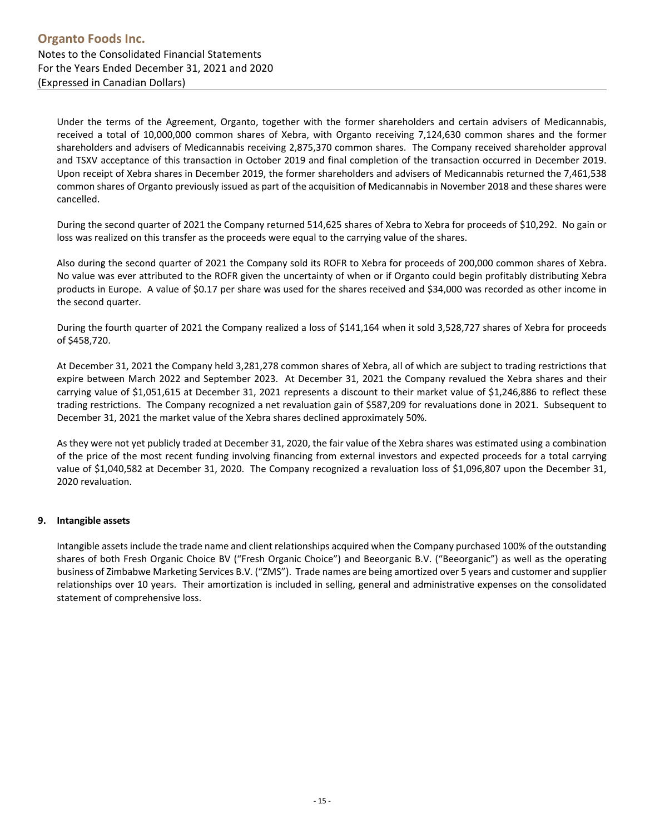Under the terms of the Agreement, Organto, together with the former shareholders and certain advisers of Medicannabis, received a total of 10,000,000 common shares of Xebra, with Organto receiving 7,124,630 common shares and the former shareholders and advisers of Medicannabis receiving 2,875,370 common shares. The Company received shareholder approval and TSXV acceptance of this transaction in October 2019 and final completion of the transaction occurred in December 2019. Upon receipt of Xebra shares in December 2019, the former shareholders and advisers of Medicannabis returned the 7,461,538 common shares of Organto previously issued as part of the acquisition of Medicannabis in November 2018 and these shares were cancelled.

During the second quarter of 2021 the Company returned 514,625 shares of Xebra to Xebra for proceeds of \$10,292. No gain or loss was realized on this transfer as the proceeds were equal to the carrying value of the shares.

Also during the second quarter of 2021 the Company sold its ROFR to Xebra for proceeds of 200,000 common shares of Xebra. No value was ever attributed to the ROFR given the uncertainty of when or if Organto could begin profitably distributing Xebra products in Europe. A value of \$0.17 per share was used for the shares received and \$34,000 was recorded as other income in the second quarter.

During the fourth quarter of 2021 the Company realized a loss of \$141,164 when it sold 3,528,727 shares of Xebra for proceeds of \$458,720.

At December 31, 2021 the Company held 3,281,278 common shares of Xebra, all of which are subject to trading restrictions that expire between March 2022 and September 2023. At December 31, 2021 the Company revalued the Xebra shares and their carrying value of \$1,051,615 at December 31, 2021 represents a discount to their market value of \$1,246,886 to reflect these trading restrictions. The Company recognized a net revaluation gain of \$587,209 for revaluations done in 2021. Subsequent to December 31, 2021 the market value of the Xebra shares declined approximately 50%.

As they were not yet publicly traded at December 31, 2020, the fair value of the Xebra shares was estimated using a combination of the price of the most recent funding involving financing from external investors and expected proceeds for a total carrying value of \$1,040,582 at December 31, 2020. The Company recognized a revaluation loss of \$1,096,807 upon the December 31, 2020 revaluation.

#### **9. Intangible assets**

Intangible assets include the trade name and client relationships acquired when the Company purchased 100% of the outstanding shares of both Fresh Organic Choice BV ("Fresh Organic Choice") and Beeorganic B.V. ("Beeorganic") as well as the operating business of Zimbabwe Marketing Services B.V. ("ZMS"). Trade names are being amortized over 5 years and customer and supplier relationships over 10 years. Their amortization is included in selling, general and administrative expenses on the consolidated statement of comprehensive loss.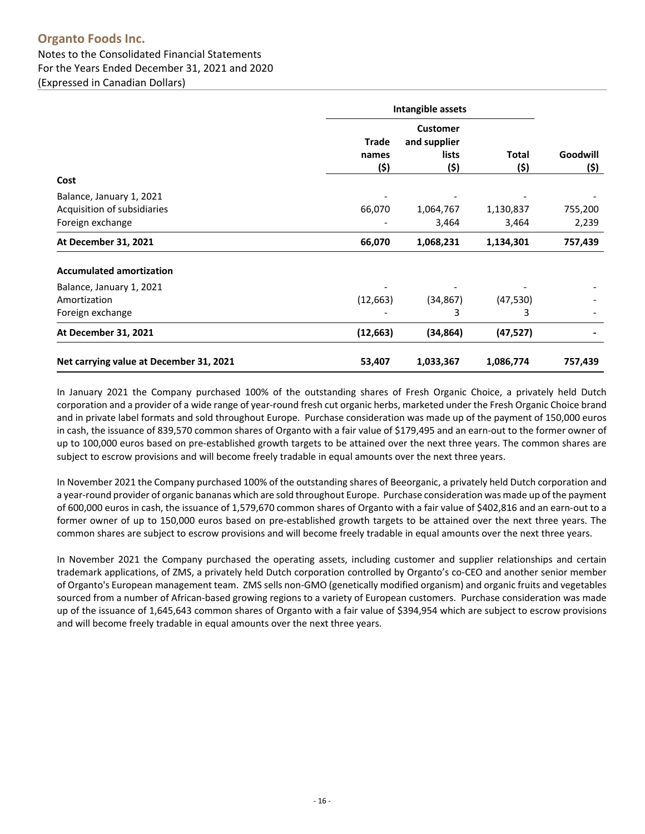## Notes to the Consolidated Financial Statements For the Years Ended December 31, 2021 and 2020 (Expressed in Canadian Dollars)

|                                         | Intangible assets      |                                                  |                      |                  |
|-----------------------------------------|------------------------|--------------------------------------------------|----------------------|------------------|
|                                         | Trade<br>names<br>(\$) | <b>Customer</b><br>and supplier<br>lists<br>(\$) | <b>Total</b><br>(\$) | Goodwill<br>(\$) |
| Cost                                    |                        |                                                  |                      |                  |
| Balance, January 1, 2021                |                        |                                                  |                      |                  |
| Acquisition of subsidiaries             | 66,070                 | 1,064,767                                        | 1,130,837            | 755,200          |
| Foreign exchange                        |                        | 3,464                                            | 3,464                | 2,239            |
| At December 31, 2021                    | 66,070                 | 1,068,231                                        | 1,134,301            | 757,439          |
| <b>Accumulated amortization</b>         |                        |                                                  |                      |                  |
| Balance, January 1, 2021                |                        |                                                  |                      |                  |
| Amortization                            | (12, 663)              | (34, 867)                                        | (47, 530)            |                  |
| Foreign exchange                        |                        | 3                                                | 3                    |                  |
| At December 31, 2021                    | (12, 663)              | (34, 864)                                        | (47, 527)            |                  |
| Net carrying value at December 31, 2021 | 53,407                 | 1,033,367                                        | 1,086,774            | 757,439          |

In January 2021 the Company purchased 100% of the outstanding shares of Fresh Organic Choice, a privately held Dutch corporation and a provider of a wide range of year‐round fresh cut organic herbs, marketed under the Fresh Organic Choice brand and in private label formats and sold throughout Europe. Purchase consideration was made up of the payment of 150,000 euros in cash, the issuance of 839,570 common shares of Organto with a fair value of \$179,495 and an earn-out to the former owner of up to 100,000 euros based on pre‐established growth targets to be attained over the next three years. The common shares are subject to escrow provisions and will become freely tradable in equal amounts over the next three years.

In November 2021 the Company purchased 100% of the outstanding shares of Beeorganic, a privately held Dutch corporation and a year-round provider of organic bananas which are sold throughout Europe. Purchase consideration was made up of the payment of 600,000 euros in cash, the issuance of 1,579,670 common shares of Organto with a fair value of \$402,816 and an earn‐out to a former owner of up to 150,000 euros based on pre‐established growth targets to be attained over the next three years. The common shares are subject to escrow provisions and will become freely tradable in equal amounts over the next three years.

In November 2021 the Company purchased the operating assets, including customer and supplier relationships and certain trademark applications, of ZMS, a privately held Dutch corporation controlled by Organto's co‐CEO and another senior member of Organto's European management team. ZMS sells non‐GMO (genetically modified organism) and organic fruits and vegetables sourced from a number of African-based growing regions to a variety of European customers. Purchase consideration was made up of the issuance of 1,645,643 common shares of Organto with a fair value of \$394,954 which are subject to escrow provisions and will become freely tradable in equal amounts over the next three years.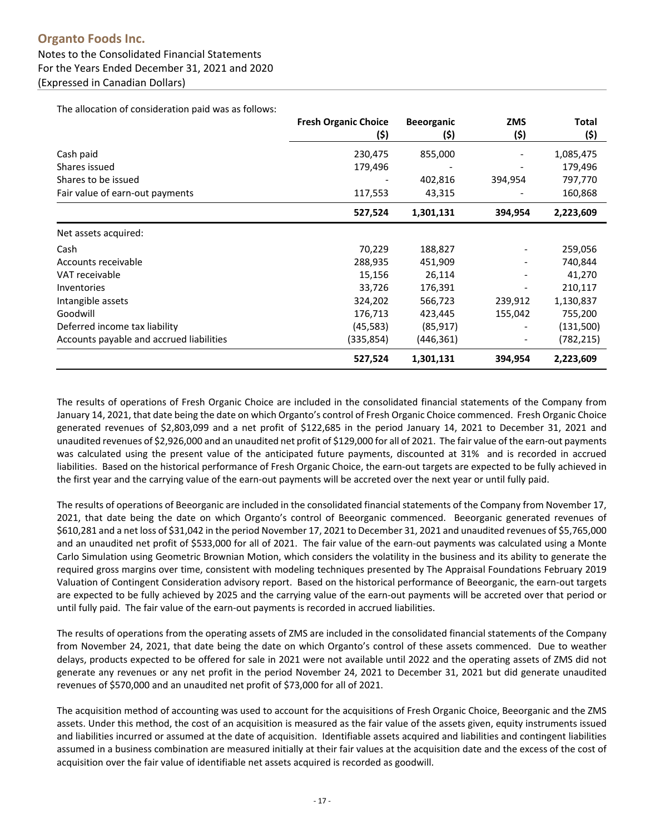## Notes to the Consolidated Financial Statements For the Years Ended December 31, 2021 and 2020 (Expressed in Canadian Dollars)

The allocation of consideration paid was as follows:

|                                          | <b>Fresh Organic Choice</b><br>(\$) | <b>Beeorganic</b><br>(\$) | <b>ZMS</b><br>(\$) | <b>Total</b><br>(\$) |
|------------------------------------------|-------------------------------------|---------------------------|--------------------|----------------------|
| Cash paid                                | 230,475                             | 855,000                   |                    | 1,085,475            |
| Shares issued                            | 179,496                             |                           |                    | 179,496              |
| Shares to be issued                      |                                     | 402,816                   | 394,954            | 797,770              |
| Fair value of earn-out payments          | 117,553                             | 43,315                    |                    | 160,868              |
|                                          | 527,524                             | 1,301,131                 | 394,954            | 2,223,609            |
| Net assets acquired:                     |                                     |                           |                    |                      |
| Cash                                     | 70,229                              | 188,827                   |                    | 259,056              |
| Accounts receivable                      | 288,935                             | 451,909                   |                    | 740,844              |
| VAT receivable                           | 15,156                              | 26,114                    |                    | 41,270               |
| <b>Inventories</b>                       | 33,726                              | 176,391                   |                    | 210,117              |
| Intangible assets                        | 324,202                             | 566,723                   | 239,912            | 1,130,837            |
| Goodwill                                 | 176,713                             | 423,445                   | 155,042            | 755,200              |
| Deferred income tax liability            | (45, 583)                           | (85, 917)                 |                    | (131,500)            |
| Accounts payable and accrued liabilities | (335,854)                           | (446,361)                 |                    | (782,215)            |
|                                          | 527,524                             | 1,301,131                 | 394,954            | 2,223,609            |

The results of operations of Fresh Organic Choice are included in the consolidated financial statements of the Company from January 14, 2021, that date being the date on which Organto's control of Fresh Organic Choice commenced. Fresh Organic Choice generated revenues of \$2,803,099 and a net profit of \$122,685 in the period January 14, 2021 to December 31, 2021 and unaudited revenues of \$2,926,000 and an unaudited net profit of \$129,000 for all of 2021. The fair value of the earn-out payments was calculated using the present value of the anticipated future payments, discounted at 31% and is recorded in accrued liabilities. Based on the historical performance of Fresh Organic Choice, the earn-out targets are expected to be fully achieved in the first year and the carrying value of the earn-out payments will be accreted over the next year or until fully paid.

The results of operations of Beeorganic are included in the consolidated financial statements of the Company from November 17, 2021, that date being the date on which Organto's control of Beeorganic commenced. Beeorganic generated revenues of \$610,281 and a net loss of \$31,042 in the period November 17, 2021 to December 31, 2021 and unaudited revenues of \$5,765,000 and an unaudited net profit of \$533,000 for all of 2021. The fair value of the earn-out payments was calculated using a Monte Carlo Simulation using Geometric Brownian Motion, which considers the volatility in the business and its ability to generate the required gross margins over time, consistent with modeling techniques presented by The Appraisal Foundations February 2019 Valuation of Contingent Consideration advisory report. Based on the historical performance of Beeorganic, the earn‐out targets are expected to be fully achieved by 2025 and the carrying value of the earn-out payments will be accreted over that period or until fully paid. The fair value of the earn-out payments is recorded in accrued liabilities.

The results of operations from the operating assets of ZMS are included in the consolidated financial statements of the Company from November 24, 2021, that date being the date on which Organto's control of these assets commenced. Due to weather delays, products expected to be offered for sale in 2021 were not available until 2022 and the operating assets of ZMS did not generate any revenues or any net profit in the period November 24, 2021 to December 31, 2021 but did generate unaudited revenues of \$570,000 and an unaudited net profit of \$73,000 for all of 2021.

The acquisition method of accounting was used to account for the acquisitions of Fresh Organic Choice, Beeorganic and the ZMS assets. Under this method, the cost of an acquisition is measured as the fair value of the assets given, equity instruments issued and liabilities incurred or assumed at the date of acquisition. Identifiable assets acquired and liabilities and contingent liabilities assumed in a business combination are measured initially at their fair values at the acquisition date and the excess of the cost of acquisition over the fair value of identifiable net assets acquired is recorded as goodwill.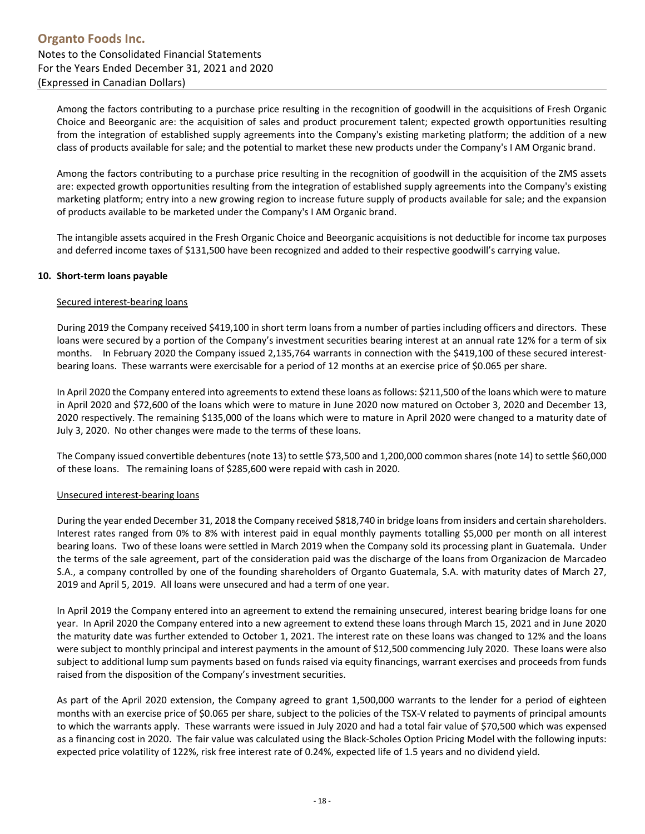Among the factors contributing to a purchase price resulting in the recognition of goodwill in the acquisitions of Fresh Organic Choice and Beeorganic are: the acquisition of sales and product procurement talent; expected growth opportunities resulting from the integration of established supply agreements into the Company's existing marketing platform; the addition of a new class of products available for sale; and the potential to market these new products under the Company's I AM Organic brand.

Among the factors contributing to a purchase price resulting in the recognition of goodwill in the acquisition of the ZMS assets are: expected growth opportunities resulting from the integration of established supply agreements into the Company's existing marketing platform; entry into a new growing region to increase future supply of products available for sale; and the expansion of products available to be marketed under the Company's I AM Organic brand.

The intangible assets acquired in the Fresh Organic Choice and Beeorganic acquisitions is not deductible for income tax purposes and deferred income taxes of \$131,500 have been recognized and added to their respective goodwill's carrying value.

#### **10. Short‐term loans payable**

#### Secured interest‐bearing loans

During 2019 the Company received \$419,100 in short term loans from a number of parties including officers and directors. These loans were secured by a portion of the Company's investment securities bearing interest at an annual rate 12% for a term of six months. In February 2020 the Company issued 2,135,764 warrants in connection with the \$419,100 of these secured interestbearing loans. These warrants were exercisable for a period of 12 months at an exercise price of \$0.065 per share.

In April 2020 the Company entered into agreements to extend these loans as follows: \$211,500 of the loans which were to mature in April 2020 and \$72,600 of the loans which were to mature in June 2020 now matured on October 3, 2020 and December 13, 2020 respectively. The remaining \$135,000 of the loans which were to mature in April 2020 were changed to a maturity date of July 3, 2020. No other changes were made to the terms of these loans.

The Company issued convertible debentures(note 13) to settle \$73,500 and 1,200,000 common shares(note 14) to settle \$60,000 of these loans. The remaining loans of \$285,600 were repaid with cash in 2020.

#### Unsecured interest‐bearing loans

During the year ended December 31, 2018 the Company received \$818,740 in bridge loansfrom insiders and certain shareholders. Interest rates ranged from 0% to 8% with interest paid in equal monthly payments totalling \$5,000 per month on all interest bearing loans. Two of these loans were settled in March 2019 when the Company sold its processing plant in Guatemala. Under the terms of the sale agreement, part of the consideration paid was the discharge of the loans from Organizacion de Marcadeo S.A., a company controlled by one of the founding shareholders of Organto Guatemala, S.A. with maturity dates of March 27, 2019 and April 5, 2019. All loans were unsecured and had a term of one year.

In April 2019 the Company entered into an agreement to extend the remaining unsecured, interest bearing bridge loans for one year. In April 2020 the Company entered into a new agreement to extend these loans through March 15, 2021 and in June 2020 the maturity date was further extended to October 1, 2021. The interest rate on these loans was changed to 12% and the loans were subject to monthly principal and interest payments in the amount of \$12,500 commencing July 2020. These loans were also subject to additional lump sum payments based on funds raised via equity financings, warrant exercises and proceeds from funds raised from the disposition of the Company's investment securities.

As part of the April 2020 extension, the Company agreed to grant 1,500,000 warrants to the lender for a period of eighteen months with an exercise price of \$0.065 per share, subject to the policies of the TSX‐V related to payments of principal amounts to which the warrants apply. These warrants were issued in July 2020 and had a total fair value of \$70,500 which was expensed as a financing cost in 2020. The fair value was calculated using the Black‐Scholes Option Pricing Model with the following inputs: expected price volatility of 122%, risk free interest rate of 0.24%, expected life of 1.5 years and no dividend yield.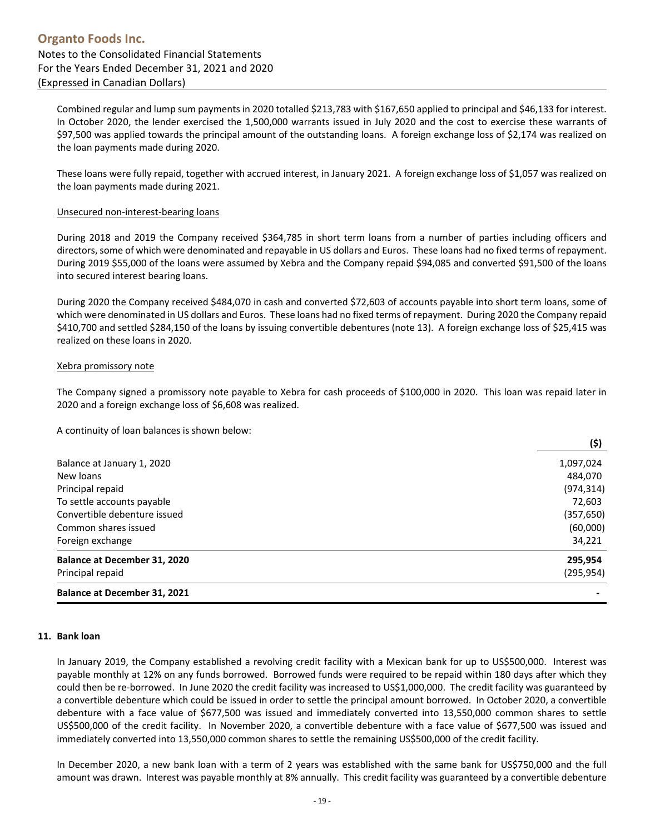Combined regular and lump sum payments in 2020 totalled \$213,783 with \$167,650 applied to principal and \$46,133 for interest. In October 2020, the lender exercised the 1,500,000 warrants issued in July 2020 and the cost to exercise these warrants of \$97,500 was applied towards the principal amount of the outstanding loans. A foreign exchange loss of \$2,174 was realized on the loan payments made during 2020.

These loans were fully repaid, together with accrued interest, in January 2021. A foreign exchange loss of \$1,057 was realized on the loan payments made during 2021.

#### Unsecured non‐interest‐bearing loans

During 2018 and 2019 the Company received \$364,785 in short term loans from a number of parties including officers and directors, some of which were denominated and repayable in US dollars and Euros. These loans had no fixed terms of repayment. During 2019 \$55,000 of the loans were assumed by Xebra and the Company repaid \$94,085 and converted \$91,500 of the loans into secured interest bearing loans.

During 2020 the Company received \$484,070 in cash and converted \$72,603 of accounts payable into short term loans, some of which were denominated in US dollars and Euros. These loans had no fixed terms of repayment. During 2020 the Company repaid \$410,700 and settled \$284,150 of the loans by issuing convertible debentures (note 13). A foreign exchange loss of \$25,415 was realized on these loans in 2020.

#### Xebra promissory note

The Company signed a promissory note payable to Xebra for cash proceeds of \$100,000 in 2020. This loan was repaid later in 2020 and a foreign exchange loss of \$6,608 was realized.

**(\$)** 

A continuity of loan balances is shown below:

| (?)        |
|------------|
| 1,097,024  |
| 484,070    |
| (974, 314) |
| 72,603     |
| (357, 650) |
| (60,000)   |
| 34,221     |
| 295,954    |
| (295, 954) |
|            |
|            |

#### **11. Bank loan**

In January 2019, the Company established a revolving credit facility with a Mexican bank for up to US\$500,000. Interest was payable monthly at 12% on any funds borrowed. Borrowed funds were required to be repaid within 180 days after which they could then be re‐borrowed. In June 2020 the credit facility was increased to US\$1,000,000. The credit facility was guaranteed by a convertible debenture which could be issued in order to settle the principal amount borrowed. In October 2020, a convertible debenture with a face value of \$677,500 was issued and immediately converted into 13,550,000 common shares to settle US\$500,000 of the credit facility. In November 2020, a convertible debenture with a face value of \$677,500 was issued and immediately converted into 13,550,000 common shares to settle the remaining US\$500,000 of the credit facility.

In December 2020, a new bank loan with a term of 2 years was established with the same bank for US\$750,000 and the full amount was drawn. Interest was payable monthly at 8% annually. This credit facility was guaranteed by a convertible debenture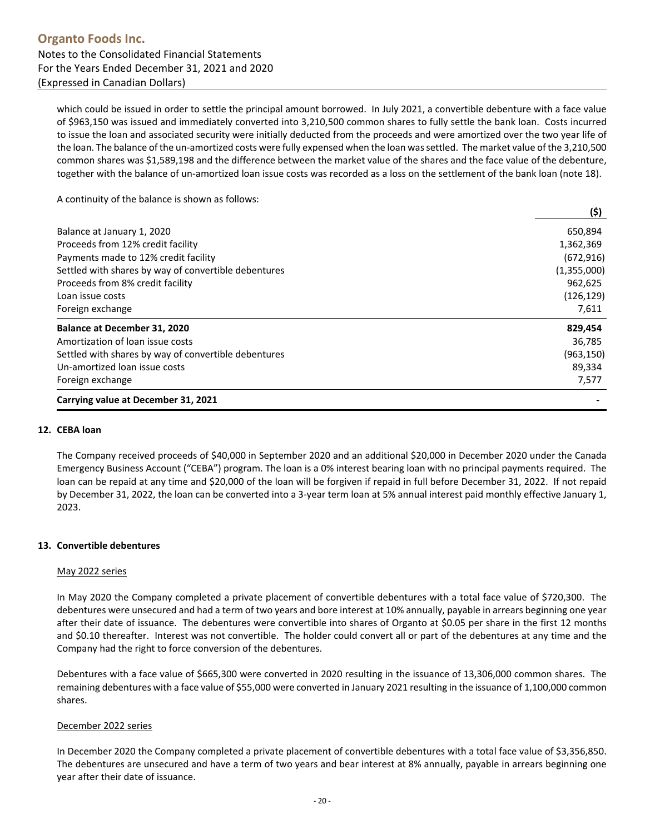which could be issued in order to settle the principal amount borrowed. In July 2021, a convertible debenture with a face value of \$963,150 was issued and immediately converted into 3,210,500 common shares to fully settle the bank loan. Costs incurred to issue the loan and associated security were initially deducted from the proceeds and were amortized over the two year life of the loan. The balance of the un‐amortized costs were fully expensed when the loan wassettled. The market value of the 3,210,500 common shares was \$1,589,198 and the difference between the market value of the shares and the face value of the debenture, together with the balance of un‐amortized loan issue costs was recorded as a loss on the settlement of the bank loan (note 18).

A continuity of the balance is shown as follows:

|                                                      | (\$)        |
|------------------------------------------------------|-------------|
| Balance at January 1, 2020                           | 650,894     |
| Proceeds from 12% credit facility                    | 1,362,369   |
| Payments made to 12% credit facility                 | (672, 916)  |
| Settled with shares by way of convertible debentures | (1,355,000) |
| Proceeds from 8% credit facility                     | 962,625     |
| Loan issue costs                                     | (126, 129)  |
| Foreign exchange                                     | 7,611       |
| <b>Balance at December 31, 2020</b>                  | 829,454     |
| Amortization of loan issue costs                     | 36,785      |
| Settled with shares by way of convertible debentures | (963, 150)  |
| Un-amortized loan issue costs                        | 89,334      |
| Foreign exchange                                     | 7,577       |
| Carrying value at December 31, 2021                  |             |

#### **12. CEBA loan**

The Company received proceeds of \$40,000 in September 2020 and an additional \$20,000 in December 2020 under the Canada Emergency Business Account ("CEBA") program. The loan is a 0% interest bearing loan with no principal payments required. The loan can be repaid at any time and \$20,000 of the loan will be forgiven if repaid in full before December 31, 2022. If not repaid by December 31, 2022, the loan can be converted into a 3‐year term loan at 5% annual interest paid monthly effective January 1, 2023.

#### **13. Convertible debentures**

#### May 2022 series

In May 2020 the Company completed a private placement of convertible debentures with a total face value of \$720,300. The debentures were unsecured and had a term of two years and bore interest at 10% annually, payable in arrears beginning one year after their date of issuance. The debentures were convertible into shares of Organto at \$0.05 per share in the first 12 months and \$0.10 thereafter. Interest was not convertible. The holder could convert all or part of the debentures at any time and the Company had the right to force conversion of the debentures.

Debentures with a face value of \$665,300 were converted in 2020 resulting in the issuance of 13,306,000 common shares. The remaining debentures with a face value of \$55,000 were converted in January 2021 resulting in the issuance of 1,100,000 common shares.

#### December 2022 series

In December 2020 the Company completed a private placement of convertible debentures with a total face value of \$3,356,850. The debentures are unsecured and have a term of two years and bear interest at 8% annually, payable in arrears beginning one year after their date of issuance.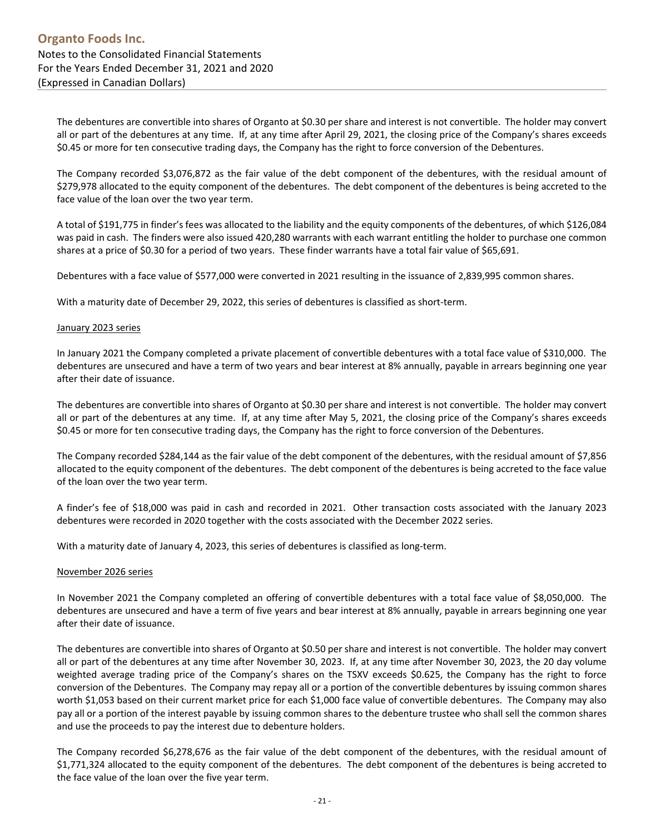The debentures are convertible into shares of Organto at \$0.30 per share and interest is not convertible. The holder may convert all or part of the debentures at any time. If, at any time after April 29, 2021, the closing price of the Company's shares exceeds \$0.45 or more for ten consecutive trading days, the Company has the right to force conversion of the Debentures.

The Company recorded \$3,076,872 as the fair value of the debt component of the debentures, with the residual amount of \$279,978 allocated to the equity component of the debentures. The debt component of the debentures is being accreted to the face value of the loan over the two year term.

A total of \$191,775 in finder's fees was allocated to the liability and the equity components of the debentures, of which \$126,084 was paid in cash. The finders were also issued 420,280 warrants with each warrant entitling the holder to purchase one common shares at a price of \$0.30 for a period of two years. These finder warrants have a total fair value of \$65,691.

Debentures with a face value of \$577,000 were converted in 2021 resulting in the issuance of 2,839,995 common shares.

With a maturity date of December 29, 2022, this series of debentures is classified as short-term.

#### January 2023 series

In January 2021 the Company completed a private placement of convertible debentures with a total face value of \$310,000. The debentures are unsecured and have a term of two years and bear interest at 8% annually, payable in arrears beginning one year after their date of issuance.

The debentures are convertible into shares of Organto at \$0.30 per share and interest is not convertible. The holder may convert all or part of the debentures at any time. If, at any time after May 5, 2021, the closing price of the Company's shares exceeds \$0.45 or more for ten consecutive trading days, the Company has the right to force conversion of the Debentures.

The Company recorded \$284,144 as the fair value of the debt component of the debentures, with the residual amount of \$7,856 allocated to the equity component of the debentures. The debt component of the debentures is being accreted to the face value of the loan over the two year term.

A finder's fee of \$18,000 was paid in cash and recorded in 2021. Other transaction costs associated with the January 2023 debentures were recorded in 2020 together with the costs associated with the December 2022 series.

With a maturity date of January 4, 2023, this series of debentures is classified as long‐term.

#### November 2026 series

In November 2021 the Company completed an offering of convertible debentures with a total face value of \$8,050,000. The debentures are unsecured and have a term of five years and bear interest at 8% annually, payable in arrears beginning one year after their date of issuance.

The debentures are convertible into shares of Organto at \$0.50 per share and interest is not convertible. The holder may convert all or part of the debentures at any time after November 30, 2023. If, at any time after November 30, 2023, the 20 day volume weighted average trading price of the Company's shares on the TSXV exceeds \$0.625, the Company has the right to force conversion of the Debentures. The Company may repay all or a portion of the convertible debentures by issuing common shares worth \$1,053 based on their current market price for each \$1,000 face value of convertible debentures. The Company may also pay all or a portion of the interest payable by issuing common shares to the debenture trustee who shall sell the common shares and use the proceeds to pay the interest due to debenture holders.

The Company recorded \$6,278,676 as the fair value of the debt component of the debentures, with the residual amount of \$1,771,324 allocated to the equity component of the debentures. The debt component of the debentures is being accreted to the face value of the loan over the five year term.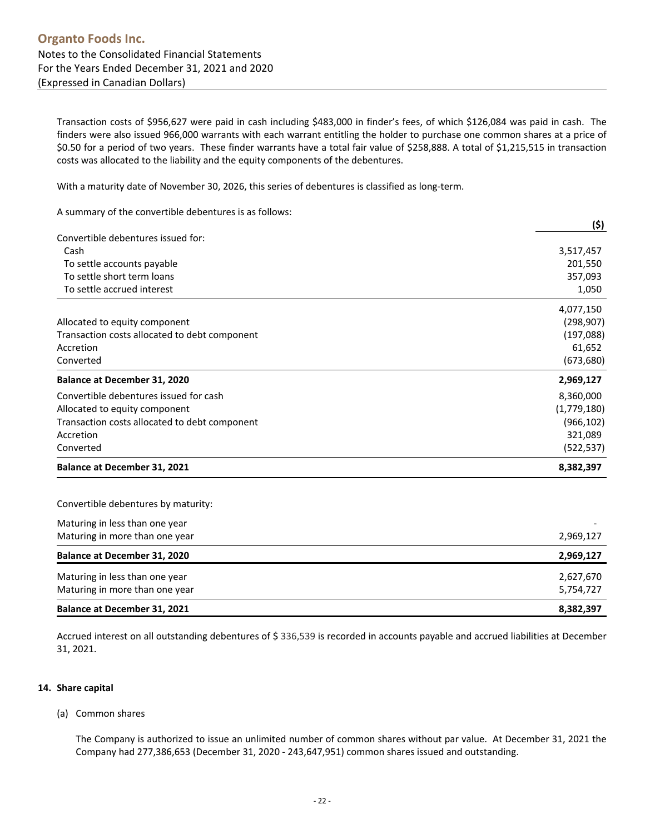Transaction costs of \$956,627 were paid in cash including \$483,000 in finder's fees, of which \$126,084 was paid in cash. The finders were also issued 966,000 warrants with each warrant entitling the holder to purchase one common shares at a price of \$0.50 for a period of two years. These finder warrants have a total fair value of \$258,888. A total of \$1,215,515 in transaction costs was allocated to the liability and the equity components of the debentures.

With a maturity date of November 30, 2026, this series of debentures is classified as long‐term.

A summary of the convertible debentures is as follows:

|                                               | (\$)        |
|-----------------------------------------------|-------------|
| Convertible debentures issued for:            |             |
| Cash                                          | 3,517,457   |
| To settle accounts payable                    | 201,550     |
| To settle short term loans                    | 357,093     |
| To settle accrued interest                    | 1,050       |
|                                               | 4,077,150   |
| Allocated to equity component                 | (298, 907)  |
| Transaction costs allocated to debt component | (197,088)   |
| Accretion                                     | 61,652      |
| Converted                                     | (673, 680)  |
| <b>Balance at December 31, 2020</b>           | 2,969,127   |
| Convertible debentures issued for cash        | 8,360,000   |
| Allocated to equity component                 | (1,779,180) |
| Transaction costs allocated to debt component | (966, 102)  |
| Accretion                                     | 321,089     |
| Converted                                     | (522, 537)  |
| <b>Balance at December 31, 2021</b>           | 8,382,397   |

Convertible debentures by maturity:

| <b>Balance at December 31, 2021</b> | 8,382,397 |
|-------------------------------------|-----------|
| Maturing in more than one year      | 5,754,727 |
| Maturing in less than one year      | 2,627,670 |
| <b>Balance at December 31, 2020</b> | 2,969,127 |
| Maturing in more than one year      | 2,969,127 |
| Maturing in less than one year      |           |

Accrued interest on all outstanding debentures of \$ 336,539 is recorded in accounts payable and accrued liabilities at December 31, 2021.

#### **14. Share capital**

(a) Common shares

The Company is authorized to issue an unlimited number of common shares without par value. At December 31, 2021 the Company had 277,386,653 (December 31, 2020 ‐ 243,647,951) common shares issued and outstanding.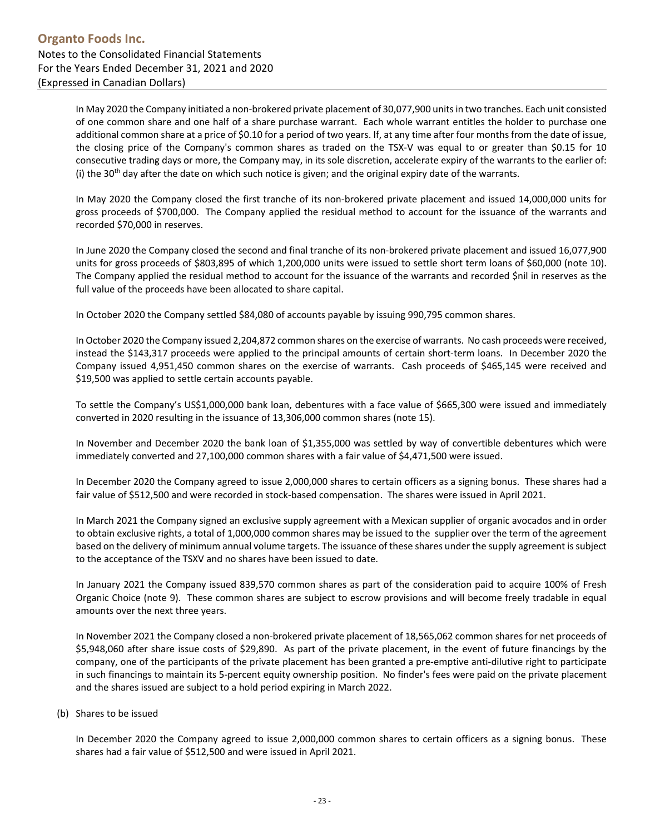In May 2020 the Company initiated a non-brokered private placement of 30,077,900 units in two tranches. Each unit consisted of one common share and one half of a share purchase warrant. Each whole warrant entitles the holder to purchase one additional common share at a price of \$0.10 for a period of two years. If, at any time after four months from the date of issue, the closing price of the Company's common shares as traded on the TSX-V was equal to or greater than \$0.15 for 10 consecutive trading days or more, the Company may, in its sole discretion, accelerate expiry of the warrants to the earlier of: (i) the 30<sup>th</sup> day after the date on which such notice is given; and the original expiry date of the warrants.

In May 2020 the Company closed the first tranche of its non‐brokered private placement and issued 14,000,000 units for gross proceeds of \$700,000. The Company applied the residual method to account for the issuance of the warrants and recorded \$70,000 in reserves.

In June 2020 the Company closed the second and final tranche of its non‐brokered private placement and issued 16,077,900 units for gross proceeds of \$803,895 of which 1,200,000 units were issued to settle short term loans of \$60,000 (note 10). The Company applied the residual method to account for the issuance of the warrants and recorded \$nil in reserves as the full value of the proceeds have been allocated to share capital.

In October 2020 the Company settled \$84,080 of accounts payable by issuing 990,795 common shares.

In October 2020 the Company issued 2,204,872 common shares on the exercise of warrants. No cash proceeds were received, instead the \$143,317 proceeds were applied to the principal amounts of certain short‐term loans. In December 2020 the Company issued 4,951,450 common shares on the exercise of warrants. Cash proceeds of \$465,145 were received and \$19,500 was applied to settle certain accounts payable.

To settle the Company's US\$1,000,000 bank loan, debentures with a face value of \$665,300 were issued and immediately converted in 2020 resulting in the issuance of 13,306,000 common shares (note 15).

In November and December 2020 the bank loan of \$1,355,000 was settled by way of convertible debentures which were immediately converted and 27,100,000 common shares with a fair value of \$4,471,500 were issued.

In December 2020 the Company agreed to issue 2,000,000 shares to certain officers as a signing bonus. These shares had a fair value of \$512,500 and were recorded in stock‐based compensation. The shares were issued in April 2021.

In March 2021 the Company signed an exclusive supply agreement with a Mexican supplier of organic avocados and in order to obtain exclusive rights, a total of 1,000,000 common shares may be issued to the supplier over the term of the agreement based on the delivery of minimum annual volume targets. The issuance of these shares under the supply agreement issubject to the acceptance of the TSXV and no shares have been issued to date.

In January 2021 the Company issued 839,570 common shares as part of the consideration paid to acquire 100% of Fresh Organic Choice (note 9). These common shares are subject to escrow provisions and will become freely tradable in equal amounts over the next three years.

In November 2021 the Company closed a non-brokered private placement of 18,565,062 common shares for net proceeds of \$5,948,060 after share issue costs of \$29,890. As part of the private placement, in the event of future financings by the company, one of the participants of the private placement has been granted a pre‐emptive anti‐dilutive right to participate in such financings to maintain its 5‐percent equity ownership position. No finder's fees were paid on the private placement and the shares issued are subject to a hold period expiring in March 2022.

#### (b) Shares to be issued

In December 2020 the Company agreed to issue 2,000,000 common shares to certain officers as a signing bonus. These shares had a fair value of \$512,500 and were issued in April 2021.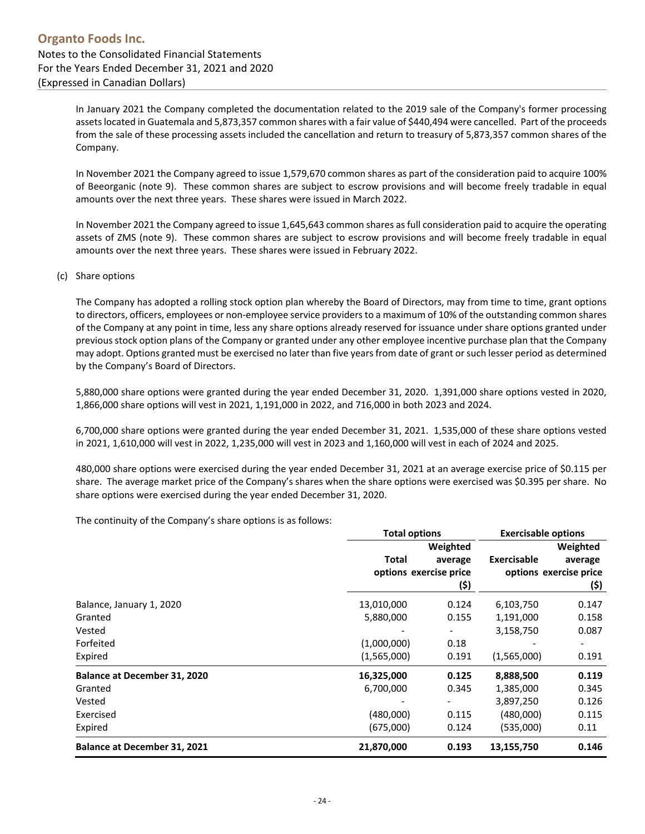In January 2021 the Company completed the documentation related to the 2019 sale of the Company's former processing assetslocated in Guatemala and 5,873,357 common shares with a fair value of \$440,494 were cancelled. Part of the proceeds from the sale of these processing assets included the cancellation and return to treasury of 5,873,357 common shares of the Company.

In November 2021 the Company agreed to issue 1,579,670 common shares as part of the consideration paid to acquire 100% of Beeorganic (note 9). These common shares are subject to escrow provisions and will become freely tradable in equal amounts over the next three years. These shares were issued in March 2022.

In November 2021 the Company agreed to issue 1,645,643 common shares asfull consideration paid to acquire the operating assets of ZMS (note 9). These common shares are subject to escrow provisions and will become freely tradable in equal amounts over the next three years. These shares were issued in February 2022.

#### (c) Share options

The Company has adopted a rolling stock option plan whereby the Board of Directors, may from time to time, grant options to directors, officers, employees or non-employee service providers to a maximum of 10% of the outstanding common shares of the Company at any point in time, less any share options already reserved for issuance under share options granted under previous stock option plans of the Company or granted under any other employee incentive purchase plan that the Company may adopt. Options granted must be exercised no later than five years from date of grant or such lesser period as determined by the Company's Board of Directors.

5,880,000 share options were granted during the year ended December 31, 2020. 1,391,000 share options vested in 2020, 1,866,000 share options will vest in 2021, 1,191,000 in 2022, and 716,000 in both 2023 and 2024.

6,700,000 share options were granted during the year ended December 31, 2021. 1,535,000 of these share options vested in 2021, 1,610,000 will vest in 2022, 1,235,000 will vest in 2023 and 1,160,000 will vest in each of 2024 and 2025.

480,000 share options were exercised during the year ended December 31, 2021 at an average exercise price of \$0.115 per share. The average market price of the Company's shares when the share options were exercised was \$0.395 per share. No share options were exercised during the year ended December 31, 2020.

The continuity of the Company's share options is as follows:

|                                     | <b>Total options</b>   |         | <b>Exercisable options</b> |          |
|-------------------------------------|------------------------|---------|----------------------------|----------|
|                                     | Weighted               |         |                            | Weighted |
|                                     | Total                  | average | Exercisable                | average  |
|                                     | options exercise price |         | options exercise price     |          |
|                                     |                        | (\$)    |                            | (\$)     |
| Balance, January 1, 2020            | 13,010,000             | 0.124   | 6,103,750                  | 0.147    |
| Granted                             | 5,880,000              | 0.155   | 1,191,000                  | 0.158    |
| Vested                              |                        |         | 3,158,750                  | 0.087    |
| Forfeited                           | (1,000,000)            | 0.18    |                            |          |
| Expired                             | (1,565,000)            | 0.191   | (1,565,000)                | 0.191    |
| <b>Balance at December 31, 2020</b> | 16,325,000             | 0.125   | 8,888,500                  | 0.119    |
| Granted                             | 6,700,000              | 0.345   | 1,385,000                  | 0.345    |
| Vested                              |                        |         | 3,897,250                  | 0.126    |
| Exercised                           | (480,000)              | 0.115   | (480,000)                  | 0.115    |
| Expired                             | (675,000)              | 0.124   | (535,000)                  | 0.11     |
| <b>Balance at December 31, 2021</b> | 21,870,000             | 0.193   | 13,155,750                 | 0.146    |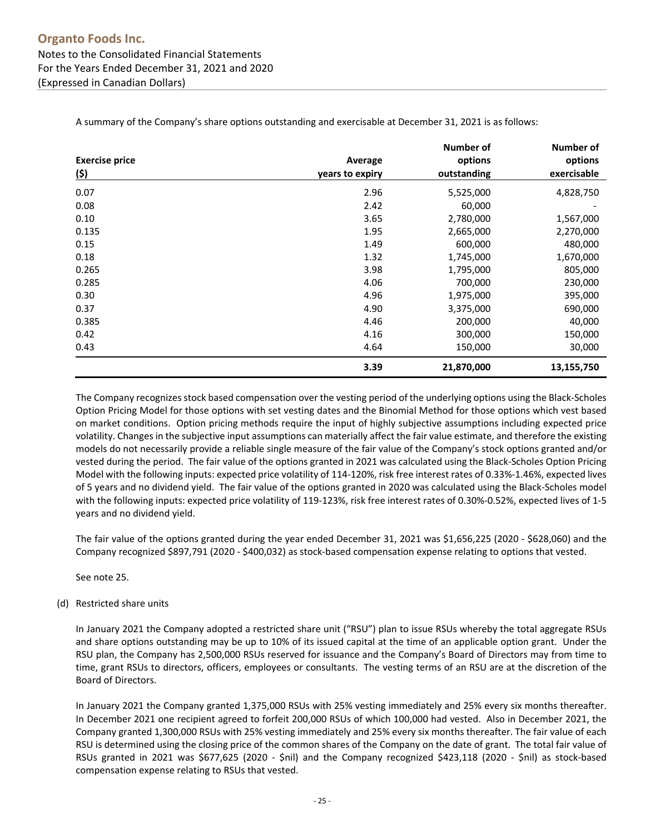|                       |                 | Number of   | Number of   |
|-----------------------|-----------------|-------------|-------------|
| <b>Exercise price</b> | Average         | options     | options     |
| (\$)                  | years to expiry | outstanding | exercisable |
| 0.07                  | 2.96            | 5,525,000   | 4,828,750   |
| 0.08                  | 2.42            | 60,000      |             |
| 0.10                  | 3.65            | 2,780,000   | 1,567,000   |
| 0.135                 | 1.95            | 2,665,000   | 2,270,000   |
| 0.15                  | 1.49            | 600,000     | 480,000     |
| 0.18                  | 1.32            | 1,745,000   | 1,670,000   |
| 0.265                 | 3.98            | 1,795,000   | 805,000     |
| 0.285                 | 4.06            | 700,000     | 230,000     |
| 0.30                  | 4.96            | 1,975,000   | 395,000     |
| 0.37                  | 4.90            | 3,375,000   | 690,000     |
| 0.385                 | 4.46            | 200,000     | 40,000      |
| 0.42                  | 4.16            | 300,000     | 150,000     |
| 0.43                  | 4.64            | 150,000     | 30,000      |
|                       | 3.39            | 21,870,000  | 13,155,750  |

A summary of the Company's share options outstanding and exercisable at December 31, 2021 is as follows:

The Company recognizesstock based compensation over the vesting period of the underlying options using the Black‐Scholes Option Pricing Model for those options with set vesting dates and the Binomial Method for those options which vest based on market conditions. Option pricing methods require the input of highly subjective assumptions including expected price volatility. Changes in the subjective input assumptions can materially affect the fair value estimate, and therefore the existing models do not necessarily provide a reliable single measure of the fair value of the Company's stock options granted and/or vested during the period. The fair value of the options granted in 2021 was calculated using the Black‐Scholes Option Pricing Model with the following inputs: expected price volatility of 114‐120%, risk free interest rates of 0.33%‐1.46%, expected lives of 5 years and no dividend yield. The fair value of the options granted in 2020 was calculated using the Black‐Scholes model with the following inputs: expected price volatility of 119-123%, risk free interest rates of 0.30%-0.52%, expected lives of 1-5 years and no dividend yield.

The fair value of the options granted during the year ended December 31, 2021 was \$1,656,225 (2020 ‐ \$628,060) and the Company recognized \$897,791 (2020 ‐ \$400,032) as stock‐based compensation expense relating to options that vested.

See note 25.

#### (d) Restricted share units

In January 2021 the Company adopted a restricted share unit ("RSU") plan to issue RSUs whereby the total aggregate RSUs and share options outstanding may be up to 10% of its issued capital at the time of an applicable option grant. Under the RSU plan, the Company has 2,500,000 RSUs reserved for issuance and the Company's Board of Directors may from time to time, grant RSUs to directors, officers, employees or consultants. The vesting terms of an RSU are at the discretion of the Board of Directors.

In January 2021 the Company granted 1,375,000 RSUs with 25% vesting immediately and 25% every six months thereafter. In December 2021 one recipient agreed to forfeit 200,000 RSUs of which 100,000 had vested. Also in December 2021, the Company granted 1,300,000 RSUs with 25% vesting immediately and 25% every six months thereafter. The fair value of each RSU is determined using the closing price of the common shares of the Company on the date of grant. The total fair value of RSUs granted in 2021 was \$677,625 (2020 - \$nil) and the Company recognized \$423,118 (2020 - \$nil) as stock-based compensation expense relating to RSUs that vested.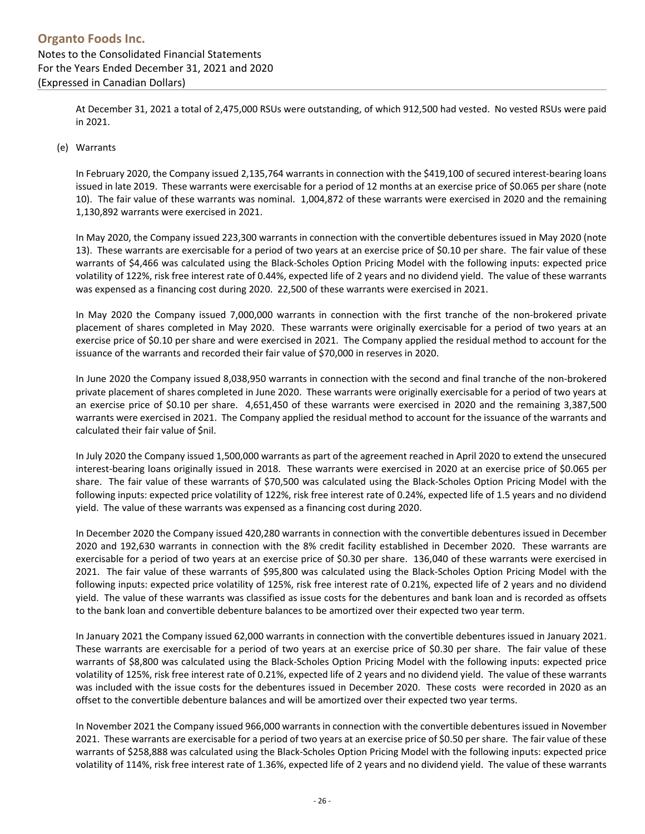At December 31, 2021 a total of 2,475,000 RSUs were outstanding, of which 912,500 had vested. No vested RSUs were paid in 2021.

#### (e) Warrants

In February 2020, the Company issued 2,135,764 warrants in connection with the \$419,100 of secured interest-bearing loans issued in late 2019. These warrants were exercisable for a period of 12 months at an exercise price of \$0.065 per share (note 10). The fair value of these warrants was nominal. 1,004,872 of these warrants were exercised in 2020 and the remaining 1,130,892 warrants were exercised in 2021.

In May 2020, the Company issued 223,300 warrants in connection with the convertible debentures issued in May 2020 (note 13). These warrants are exercisable for a period of two years at an exercise price of \$0.10 per share. The fair value of these warrants of \$4,466 was calculated using the Black‐Scholes Option Pricing Model with the following inputs: expected price volatility of 122%, risk free interest rate of 0.44%, expected life of 2 years and no dividend yield. The value of these warrants was expensed as a financing cost during 2020. 22,500 of these warrants were exercised in 2021.

In May 2020 the Company issued 7,000,000 warrants in connection with the first tranche of the non‐brokered private placement of shares completed in May 2020. These warrants were originally exercisable for a period of two years at an exercise price of \$0.10 per share and were exercised in 2021. The Company applied the residual method to account for the issuance of the warrants and recorded their fair value of \$70,000 in reserves in 2020.

In June 2020 the Company issued 8,038,950 warrants in connection with the second and final tranche of the non-brokered private placement of shares completed in June 2020. These warrants were originally exercisable for a period of two years at an exercise price of \$0.10 per share. 4,651,450 of these warrants were exercised in 2020 and the remaining 3,387,500 warrants were exercised in 2021. The Company applied the residual method to account for the issuance of the warrants and calculated their fair value of \$nil.

In July 2020 the Company issued 1,500,000 warrants as part of the agreement reached in April 2020 to extend the unsecured interest-bearing loans originally issued in 2018. These warrants were exercised in 2020 at an exercise price of \$0.065 per share. The fair value of these warrants of \$70,500 was calculated using the Black‐Scholes Option Pricing Model with the following inputs: expected price volatility of 122%, risk free interest rate of 0.24%, expected life of 1.5 years and no dividend yield. The value of these warrants was expensed as a financing cost during 2020.

In December 2020 the Company issued 420,280 warrants in connection with the convertible debentures issued in December 2020 and 192,630 warrants in connection with the 8% credit facility established in December 2020. These warrants are exercisable for a period of two years at an exercise price of \$0.30 per share. 136,040 of these warrants were exercised in 2021. The fair value of these warrants of \$95,800 was calculated using the Black‐Scholes Option Pricing Model with the following inputs: expected price volatility of 125%, risk free interest rate of 0.21%, expected life of 2 years and no dividend yield. The value of these warrants was classified as issue costs for the debentures and bank loan and is recorded as offsets to the bank loan and convertible debenture balances to be amortized over their expected two year term.

In January 2021 the Company issued 62,000 warrants in connection with the convertible debentures issued in January 2021. These warrants are exercisable for a period of two years at an exercise price of \$0.30 per share. The fair value of these warrants of \$8,800 was calculated using the Black‐Scholes Option Pricing Model with the following inputs: expected price volatility of 125%, risk free interest rate of 0.21%, expected life of 2 years and no dividend yield. The value of these warrants was included with the issue costs for the debentures issued in December 2020. These costs were recorded in 2020 as an offset to the convertible debenture balances and will be amortized over their expected two year terms.

In November 2021 the Company issued 966,000 warrants in connection with the convertible debentures issued in November 2021. These warrants are exercisable for a period of two years at an exercise price of \$0.50 per share. The fair value of these warrants of \$258,888 was calculated using the Black‐Scholes Option Pricing Model with the following inputs: expected price volatility of 114%, risk free interest rate of 1.36%, expected life of 2 years and no dividend yield. The value of these warrants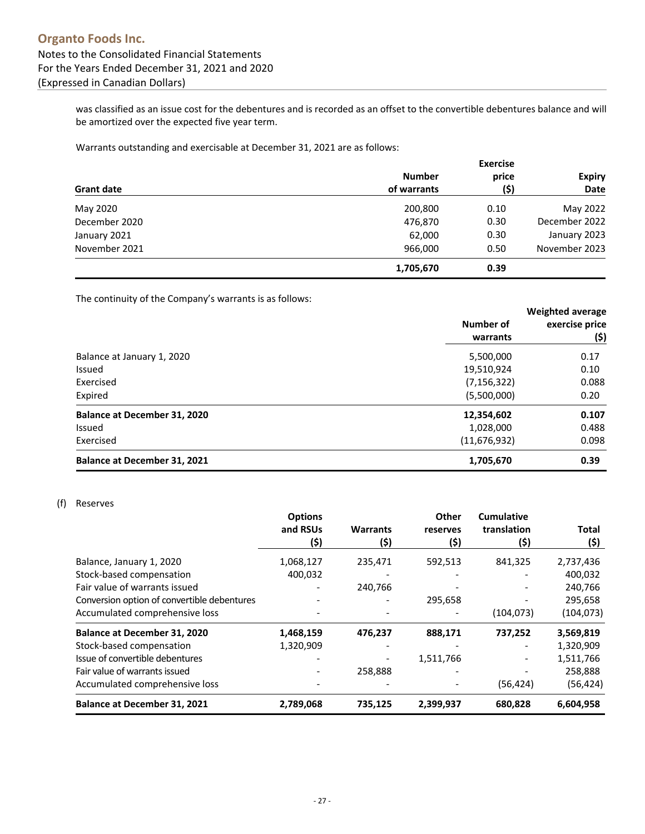was classified as an issue cost for the debentures and is recorded as an offset to the convertible debentures balance and will be amortized over the expected five year term.

Warrants outstanding and exercisable at December 31, 2021 are as follows:

|                   |               | <b>Exercise</b> |               |
|-------------------|---------------|-----------------|---------------|
|                   | <b>Number</b> | price           | <b>Expiry</b> |
| <b>Grant date</b> | of warrants   | (\$)            | Date          |
| May 2020          | 200,800       | 0.10            | May 2022      |
| December 2020     | 476,870       | 0.30            | December 2022 |
| January 2021      | 62,000        | 0.30            | January 2023  |
| November 2021     | 966,000       | 0.50            | November 2023 |
|                   | 1,705,670     | 0.39            |               |

The continuity of the Company's warrants is as follows:

|                                     | Number of<br>warrants | <b>Weighted average</b><br>exercise price<br>(\$) |
|-------------------------------------|-----------------------|---------------------------------------------------|
| Balance at January 1, 2020          | 5,500,000             | 0.17                                              |
| Issued                              | 19,510,924            | 0.10                                              |
| Exercised                           | (7, 156, 322)         | 0.088                                             |
| Expired                             | (5,500,000)           | 0.20                                              |
| <b>Balance at December 31, 2020</b> | 12,354,602            | 0.107                                             |
| Issued                              | 1,028,000             | 0.488                                             |
| Exercised                           | (11, 676, 932)        | 0.098                                             |
| <b>Balance at December 31, 2021</b> | 1,705,670             | 0.39                                              |

#### (f) Reserves

|                                             | <b>Options</b> |                 | Other     | <b>Cumulative</b> |              |
|---------------------------------------------|----------------|-----------------|-----------|-------------------|--------------|
|                                             | and RSUs       | <b>Warrants</b> | reserves  | translation       | <b>Total</b> |
|                                             | (\$)           | (\$)            | (\$)      | (\$)              | (\$)         |
| Balance, January 1, 2020                    | 1,068,127      | 235,471         | 592,513   | 841,325           | 2,737,436    |
| Stock-based compensation                    | 400,032        |                 |           |                   | 400,032      |
| Fair value of warrants issued               |                | 240,766         |           |                   | 240,766      |
| Conversion option of convertible debentures |                |                 | 295,658   |                   | 295,658      |
| Accumulated comprehensive loss              |                |                 |           | (104, 073)        | (104, 073)   |
| <b>Balance at December 31, 2020</b>         | 1,468,159      | 476,237         | 888,171   | 737,252           | 3,569,819    |
| Stock-based compensation                    | 1,320,909      |                 |           |                   | 1,320,909    |
| Issue of convertible debentures             |                |                 | 1,511,766 |                   | 1,511,766    |
| Fair value of warrants issued               |                | 258,888         |           |                   | 258,888      |
| Accumulated comprehensive loss              |                |                 |           | (56, 424)         | (56, 424)    |
| <b>Balance at December 31, 2021</b>         | 2,789,068      | 735,125         | 2,399,937 | 680,828           | 6,604,958    |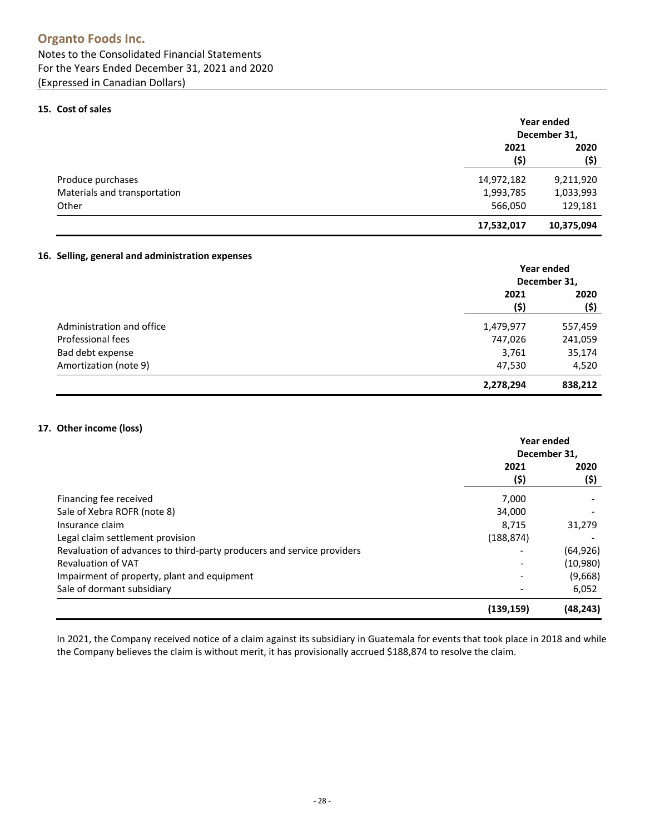## **Organto Foods Inc.**

## Notes to the Consolidated Financial Statements For the Years Ended December 31, 2021 and 2020 (Expressed in Canadian Dollars)

#### **15. Cost of sales**

|                              |              | Year ended   |  |
|------------------------------|--------------|--------------|--|
|                              |              | December 31, |  |
|                              | 2021<br>(\$) | 2020<br>(\$) |  |
| Produce purchases            | 14,972,182   | 9,211,920    |  |
| Materials and transportation | 1,993,785    | 1,033,993    |  |
| Other                        | 566,050      | 129,181      |  |
|                              | 17,532,017   | 10,375,094   |  |

#### **16. Selling, general and administration expenses**

|                           | Year ended   |         |
|---------------------------|--------------|---------|
|                           | December 31, |         |
|                           | 2021         | 2020    |
|                           | (\$)         | (\$)    |
| Administration and office | 1,479,977    | 557,459 |
| Professional fees         | 747,026      | 241,059 |
| Bad debt expense          | 3,761        | 35,174  |
| Amortization (note 9)     | 47,530       | 4,520   |
|                           | 2,278,294    | 838,212 |

#### **17. Other income (loss)**

|                                                                        | Year ended   |           |
|------------------------------------------------------------------------|--------------|-----------|
|                                                                        | December 31, |           |
|                                                                        | 2021         | 2020      |
|                                                                        | (\$)         | (\$)      |
| Financing fee received                                                 | 7.000        |           |
| Sale of Xebra ROFR (note 8)                                            | 34,000       |           |
| Insurance claim                                                        | 8.715        | 31,279    |
| Legal claim settlement provision                                       | (188, 874)   |           |
| Revaluation of advances to third-party producers and service providers |              | (64, 926) |
| <b>Revaluation of VAT</b>                                              |              | (10,980)  |
| Impairment of property, plant and equipment                            |              | (9,668)   |
| Sale of dormant subsidiary                                             |              | 6,052     |
|                                                                        | (139, 159)   | (48,243)  |

In 2021, the Company received notice of a claim against its subsidiary in Guatemala for events that took place in 2018 and while the Company believes the claim is without merit, it has provisionally accrued \$188,874 to resolve the claim.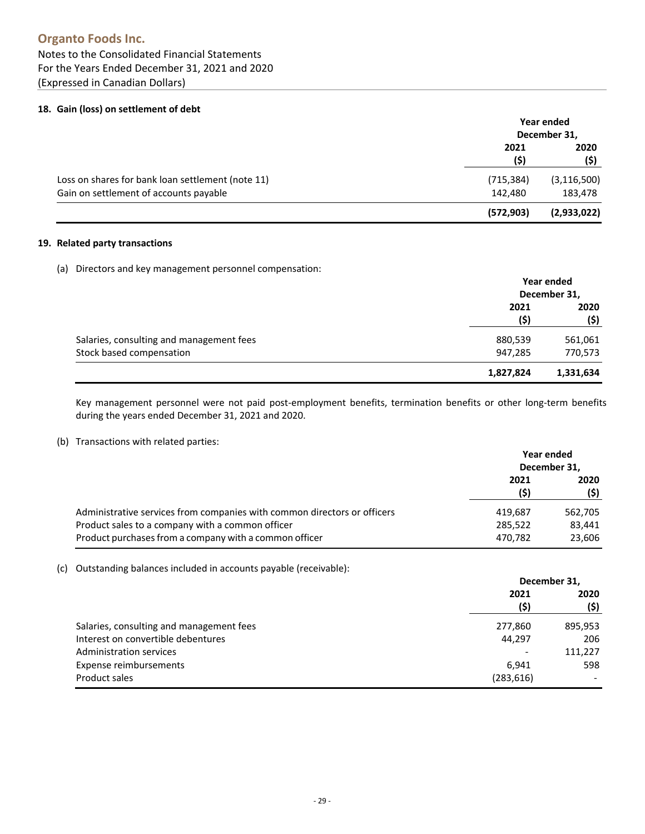## **Organto Foods Inc.**

## Notes to the Consolidated Financial Statements For the Years Ended December 31, 2021 and 2020 (Expressed in Canadian Dollars)

#### **18. Gain (loss) on settlement of debt**

|                                                   | Year ended<br>December 31, |               |
|---------------------------------------------------|----------------------------|---------------|
|                                                   | 2021<br>(\$)               | 2020<br>(\$)  |
| Loss on shares for bank loan settlement (note 11) | (715, 384)                 | (3, 116, 500) |
| Gain on settlement of accounts payable            | 142,480                    | 183,478       |
|                                                   | (572,903)                  | (2,933,022)   |

#### **19. Related party transactions**

(a) Directors and key management personnel compensation:

|                                          | Year ended   |           |
|------------------------------------------|--------------|-----------|
|                                          | December 31, |           |
|                                          | 2021         | 2020      |
|                                          | (\$)         | (\$)      |
| Salaries, consulting and management fees | 880,539      | 561,061   |
| Stock based compensation                 | 947,285      | 770,573   |
|                                          | 1,827,824    | 1,331,634 |

Key management personnel were not paid post-employment benefits, termination benefits or other long-term benefits during the years ended December 31, 2021 and 2020.

#### (b) Transactions with related parties:

|                                                                          | Year ended<br>December 31, |         |
|--------------------------------------------------------------------------|----------------------------|---------|
|                                                                          | 2021                       | 2020    |
|                                                                          | (\$)                       | (\$)    |
| Administrative services from companies with common directors or officers | 419.687                    | 562,705 |
| Product sales to a company with a common officer                         | 285,522                    | 83,441  |
| Product purchases from a company with a common officer                   | 470.782                    | 23,606  |

(c) Outstanding balances included in accounts payable (receivable):

|                                          | December 31, |         |
|------------------------------------------|--------------|---------|
|                                          | 2021         | 2020    |
|                                          | (\$)         | (\$)    |
| Salaries, consulting and management fees | 277,860      | 895,953 |
| Interest on convertible debentures       | 44,297       | 206     |
| Administration services                  |              | 111.227 |
| Expense reimbursements                   | 6.941        | 598     |
| Product sales                            | (283, 616)   |         |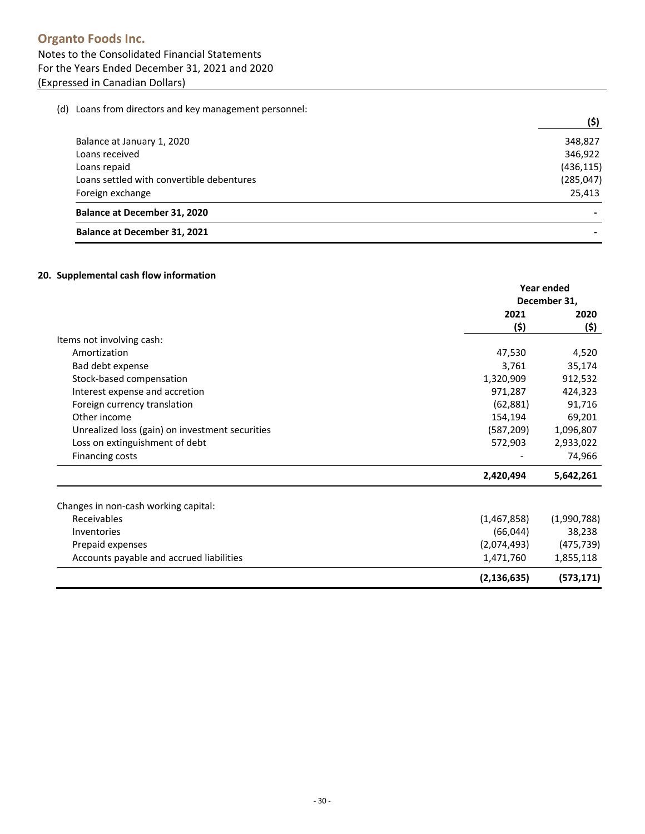(d) Loans from directors and key management personnel:

| <b>Balance at December 31, 2021</b>       |            |
|-------------------------------------------|------------|
| <b>Balance at December 31, 2020</b>       |            |
| Foreign exchange                          | 25,413     |
| Loans settled with convertible debentures | (285, 047) |
| Loans repaid                              | (436, 115) |
| Loans received                            | 346,922    |
| Balance at January 1, 2020                | 348,827    |
|                                           | (\$)       |

#### **20. Supplemental cash flow information**

|                                                 | Year ended<br>December 31, |             |
|-------------------------------------------------|----------------------------|-------------|
|                                                 |                            |             |
|                                                 | 2021                       | 2020        |
|                                                 | (\$)                       | (\$)        |
| Items not involving cash:                       |                            |             |
| Amortization                                    | 47,530                     | 4,520       |
| Bad debt expense                                | 3,761                      | 35,174      |
| Stock-based compensation                        | 1,320,909                  | 912,532     |
| Interest expense and accretion                  | 971,287                    | 424,323     |
| Foreign currency translation                    | (62, 881)                  | 91,716      |
| Other income                                    | 154,194                    | 69,201      |
| Unrealized loss (gain) on investment securities | (587, 209)                 | 1,096,807   |
| Loss on extinguishment of debt                  | 572,903                    | 2,933,022   |
| <b>Financing costs</b>                          |                            | 74,966      |
|                                                 | 2,420,494                  | 5,642,261   |
| Changes in non-cash working capital:            |                            |             |
| Receivables                                     | (1,467,858)                | (1,990,788) |
| Inventories                                     | (66, 044)                  | 38,238      |
| Prepaid expenses                                | (2,074,493)                | (475, 739)  |
| Accounts payable and accrued liabilities        | 1,471,760                  | 1,855,118   |
|                                                 | (2, 136, 635)              | (573, 171)  |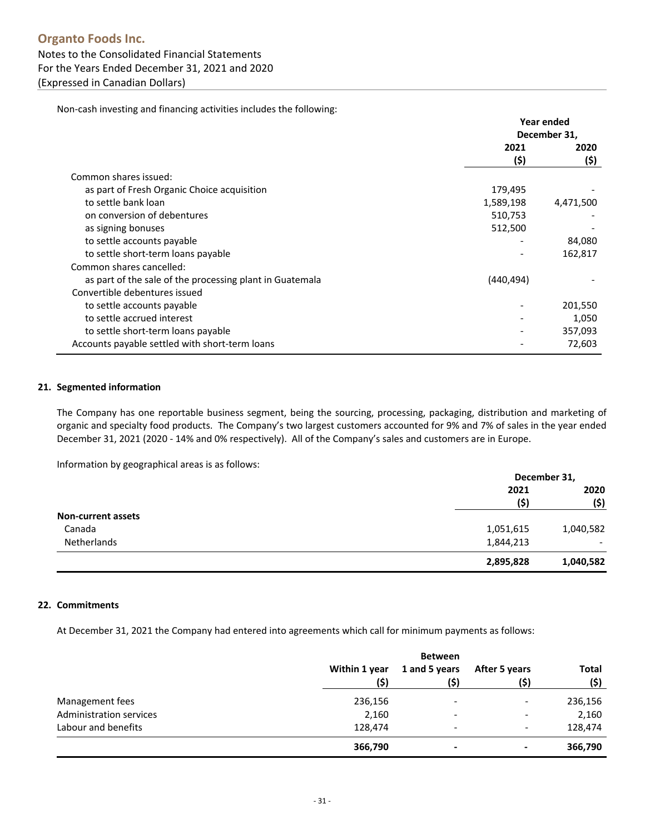Non‐cash investing and financing activities includes the following:

|                                                          | <b>Year ended</b> |           |
|----------------------------------------------------------|-------------------|-----------|
|                                                          | December 31,      |           |
|                                                          | 2021              | 2020      |
|                                                          | (\$)              | (\$)      |
| Common shares issued:                                    |                   |           |
| as part of Fresh Organic Choice acquisition              | 179,495           |           |
| to settle bank loan                                      | 1,589,198         | 4,471,500 |
| on conversion of debentures                              | 510,753           |           |
| as signing bonuses                                       | 512,500           |           |
| to settle accounts payable                               |                   | 84,080    |
| to settle short-term loans payable                       |                   | 162,817   |
| Common shares cancelled:                                 |                   |           |
| as part of the sale of the processing plant in Guatemala | (440,494)         |           |
| Convertible debentures issued                            |                   |           |
| to settle accounts payable                               |                   | 201,550   |
| to settle accrued interest                               |                   | 1,050     |
| to settle short-term loans payable                       |                   | 357,093   |
| Accounts payable settled with short-term loans           |                   | 72,603    |

#### **21. Segmented information**

The Company has one reportable business segment, being the sourcing, processing, packaging, distribution and marketing of organic and specialty food products. The Company's two largest customers accounted for 9% and 7% of sales in the year ended December 31, 2021 (2020 - 14% and 0% respectively). All of the Company's sales and customers are in Europe.

Information by geographical areas is as follows:

|                           |           | December 31,             |  |
|---------------------------|-----------|--------------------------|--|
|                           | 2021      | 2020                     |  |
|                           | (\$)      | (\$)                     |  |
| <b>Non-current assets</b> |           |                          |  |
| Canada                    | 1,051,615 | 1,040,582                |  |
| Netherlands               | 1,844,213 | $\overline{\phantom{0}}$ |  |
|                           | 2,895,828 | 1,040,582                |  |

#### **22. Commitments**

At December 31, 2021 the Company had entered into agreements which call for minimum payments as follows:

|                                |                       | <b>Between</b>           |                       |                      |
|--------------------------------|-----------------------|--------------------------|-----------------------|----------------------|
|                                | Within 1 year<br>(\$) | 1 and 5 years<br>(\$)    | After 5 years<br>(\$) | <b>Total</b><br>(\$) |
| Management fees                | 236,156               |                          |                       | 236,156              |
| <b>Administration services</b> | 2,160                 | $\overline{\phantom{a}}$ | -                     | 2,160                |
| Labour and benefits            | 128,474               |                          |                       | 128,474              |
|                                | 366,790               |                          |                       | 366,790              |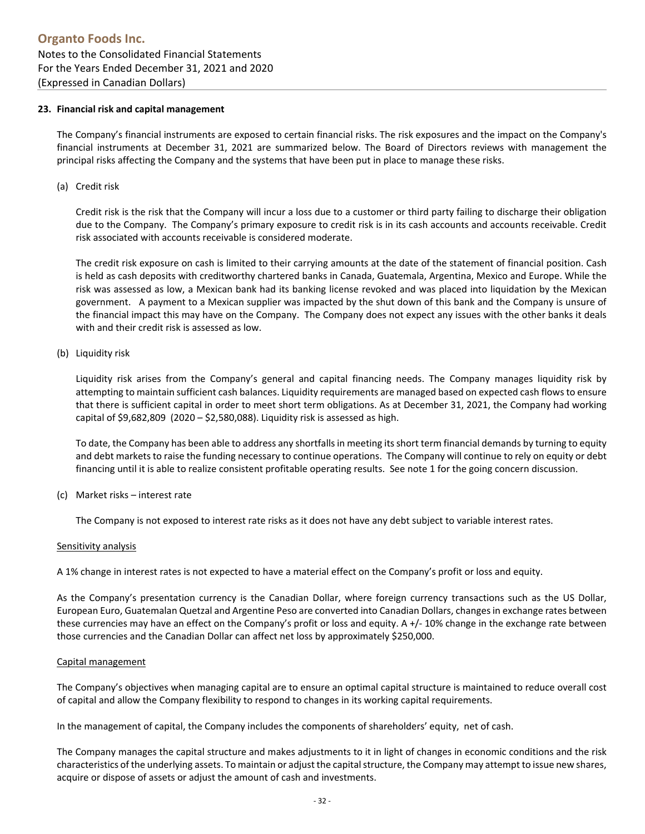#### **23. Financial risk and capital management**

The Company's financial instruments are exposed to certain financial risks. The risk exposures and the impact on the Company's financial instruments at December 31, 2021 are summarized below. The Board of Directors reviews with management the principal risks affecting the Company and the systems that have been put in place to manage these risks.

(a) Credit risk

Credit risk is the risk that the Company will incur a loss due to a customer or third party failing to discharge their obligation due to the Company. The Company's primary exposure to credit risk is in its cash accounts and accounts receivable. Credit risk associated with accounts receivable is considered moderate.

The credit risk exposure on cash is limited to their carrying amounts at the date of the statement of financial position. Cash is held as cash deposits with creditworthy chartered banks in Canada, Guatemala, Argentina, Mexico and Europe. While the risk was assessed as low, a Mexican bank had its banking license revoked and was placed into liquidation by the Mexican government. A payment to a Mexican supplier was impacted by the shut down of this bank and the Company is unsure of the financial impact this may have on the Company. The Company does not expect any issues with the other banks it deals with and their credit risk is assessed as low.

#### (b) Liquidity risk

Liquidity risk arises from the Company's general and capital financing needs. The Company manages liquidity risk by attempting to maintain sufficient cash balances. Liquidity requirements are managed based on expected cash flowsto ensure that there is sufficient capital in order to meet short term obligations. As at December 31, 2021, the Company had working capital of \$9,682,809 (2020 – \$2,580,088). Liquidity risk is assessed as high.

To date, the Company has been able to address any shortfalls in meeting its short term financial demands by turning to equity and debt markets to raise the funding necessary to continue operations. The Company will continue to rely on equity or debt financing until it is able to realize consistent profitable operating results. See note 1 for the going concern discussion.

(c) Market risks – interest rate

The Company is not exposed to interest rate risks as it does not have any debt subject to variable interest rates.

#### Sensitivity analysis

A 1% change in interest rates is not expected to have a material effect on the Company's profit or loss and equity.

As the Company's presentation currency is the Canadian Dollar, where foreign currency transactions such as the US Dollar, European Euro, Guatemalan Quetzal and Argentine Peso are converted into Canadian Dollars, changesin exchange rates between these currencies may have an effect on the Company's profit or loss and equity. A +/‐ 10% change in the exchange rate between those currencies and the Canadian Dollar can affect net loss by approximately \$250,000.

#### Capital management

The Company's objectives when managing capital are to ensure an optimal capital structure is maintained to reduce overall cost of capital and allow the Company flexibility to respond to changes in its working capital requirements.

In the management of capital, the Company includes the components of shareholders' equity, net of cash.

The Company manages the capital structure and makes adjustments to it in light of changes in economic conditions and the risk characteristics of the underlying assets. To maintain or adjust the capital structure, the Company may attempt to issue new shares, acquire or dispose of assets or adjust the amount of cash and investments.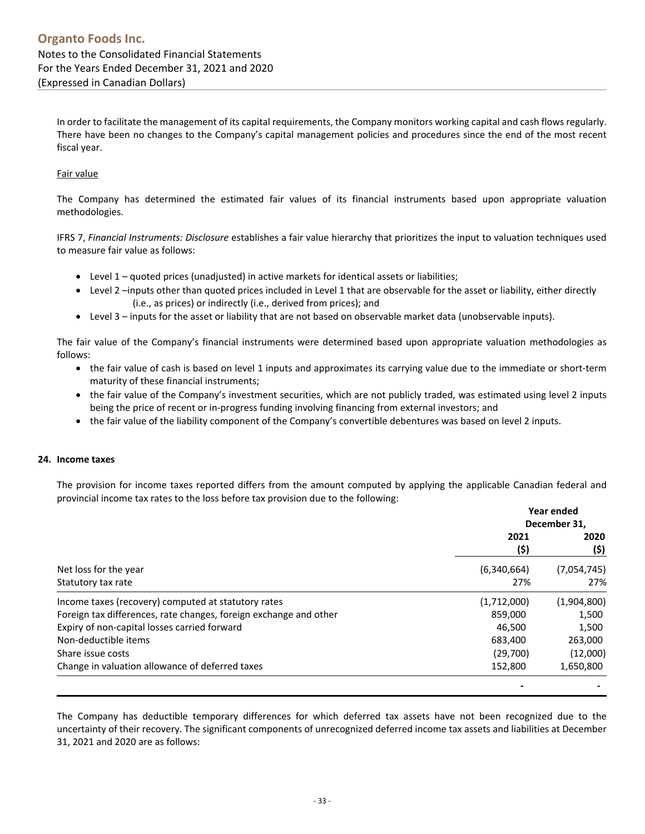In order to facilitate the management of its capital requirements, the Company monitors working capital and cash flows regularly. There have been no changes to the Company's capital management policies and procedures since the end of the most recent fiscal year.

#### Fair value

The Company has determined the estimated fair values of its financial instruments based upon appropriate valuation methodologies.

IFRS 7, *Financial Instruments: Disclosure* establishes a fair value hierarchy that prioritizes the input to valuation techniques used to measure fair value as follows:

- Level 1 quoted prices (unadjusted) in active markets for identical assets or liabilities;
- Level 2 –inputs other than quoted prices included in Level 1 that are observable for the asset or liability, either directly (i.e., as prices) or indirectly (i.e., derived from prices); and
- Level 3 inputs for the asset or liability that are not based on observable market data (unobservable inputs).

The fair value of the Company's financial instruments were determined based upon appropriate valuation methodologies as follows:

- the fair value of cash is based on level 1 inputs and approximates its carrying value due to the immediate or short-term maturity of these financial instruments;
- the fair value of the Company's investment securities, which are not publicly traded, was estimated using level 2 inputs being the price of recent or in‐progress funding involving financing from external investors; and
- the fair value of the liability component of the Company's convertible debentures was based on level 2 inputs.

#### **24. Income taxes**

The provision for income taxes reported differs from the amount computed by applying the applicable Canadian federal and provincial income tax rates to the loss before tax provision due to the following:

|                                                                   | Year ended<br>December 31, |              |
|-------------------------------------------------------------------|----------------------------|--------------|
|                                                                   | 2021<br>(\$)               | 2020<br>(\$) |
| Net loss for the year                                             | (6,340,664)                | (7,054,745)  |
| Statutory tax rate                                                | 27%                        | 27%          |
| Income taxes (recovery) computed at statutory rates               | (1,712,000)                | (1,904,800)  |
| Foreign tax differences, rate changes, foreign exchange and other | 859,000                    | 1,500        |
| Expiry of non-capital losses carried forward                      | 46.500                     | 1,500        |
| Non-deductible items                                              | 683,400                    | 263,000      |
| Share issue costs                                                 | (29,700)                   | (12,000)     |
| Change in valuation allowance of deferred taxes                   | 152,800                    | 1,650,800    |
|                                                                   |                            |              |

The Company has deductible temporary differences for which deferred tax assets have not been recognized due to the uncertainty of their recovery. The significant components of unrecognized deferred income tax assets and liabilities at December 31, 2021 and 2020 are as follows: